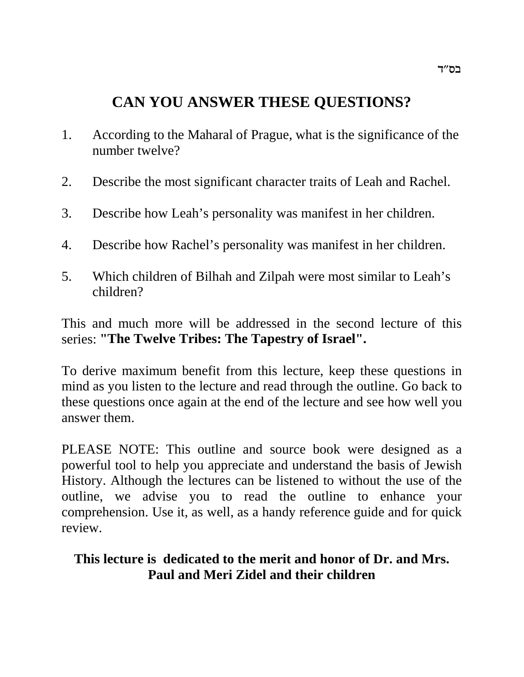# **CAN YOU ANSWER THESE QUESTIONS?**

- 1. According to the Maharal of Prague, what is the significance of the number twelve?
- 2. Describe the most significant character traits of Leah and Rachel.
- 3. Describe how Leah's personality was manifest in her children.
- 4. Describe how Rachel's personality was manifest in her children.
- 5. Which children of Bilhah and Zilpah were most similar to Leah's children?

This and much more will be addressed in the second lecture of this series: **"The Twelve Tribes: The Tapestry of Israel".**

To derive maximum benefit from this lecture, keep these questions in mind as you listen to the lecture and read through the outline. Go back to these questions once again at the end of the lecture and see how well you answer them.

PLEASE NOTE: This outline and source book were designed as a powerful tool to help you appreciate and understand the basis of Jewish History. Although the lectures can be listened to without the use of the outline, we advise you to read the outline to enhance your comprehension. Use it, as well, as a handy reference guide and for quick review.

# **This lecture is dedicated to the merit and honor of Dr. and Mrs. Paul and Meri Zidel and their children**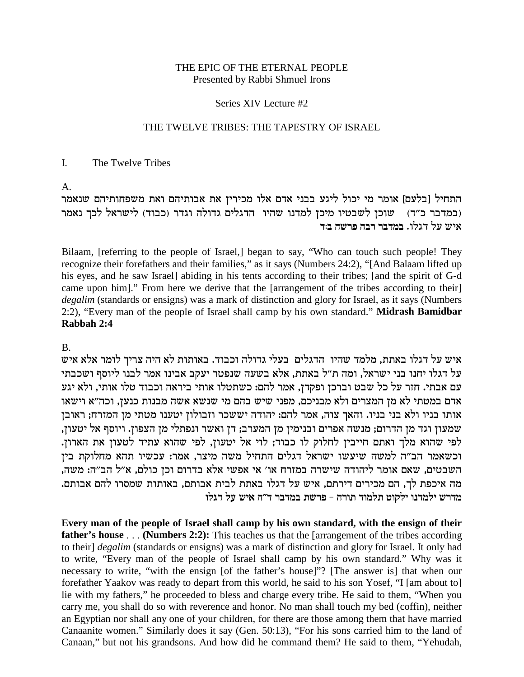#### THE EPIC OF THE ETERNAL PEOPLE Presented by Rabbi Shmuel Irons

#### Series XIV Lecture #2

#### THE TWELVE TRIBES: THE TAPESTRY OF ISRAEL

#### $\mathbf{I}$ . The Twelve Tribes

 $A_{\cdot}$ 

התחיל [בלעם] אומר מי יכול ליגע בבני אדם אלו מכירין את אבותיהם ואת משפחותיהם שנאמר (במדבר כ"ד) שוכן לשבטיו מיכן למדנו שהיו הדגלים גדולה וגדר (כבוד) לישראל לכך נאמר איש על דגלו. במדבר רבה פרשה בוד

Bilaam, [referring to the people of Israel,] began to say, "Who can touch such people! They recognize their forefathers and their families," as it says (Numbers 24:2), "[And Balaam lifted up his eyes, and he saw Israel] abiding in his tents according to their tribes; [and the spirit of G-d came upon him]." From here we derive that the [arrangement of the tribes according to their] degalim (standards or ensigns) was a mark of distinction and glory for Israel, as it says (Numbers 2:2), "Every man of the people of Israel shall camp by his own standard." Midrash Bamidbar Rabbah 2:4

**B.** 

איש על דגלו באתת, מלמד שהיו הדגלים בעלי גדולה וכבוד. באותות לא היה צריך לומר אלא איש על דגלו יחנו בני ישראל, ומה ת"ל באתת, אלא בשעה שנפטר יעקב אבינו אמר לבנו ליוסף ושכבתי עם אבתי. חזר על כל שבט וברכן ופקדן, אמר להם: כשתטלו אותי ביראה וכבוד טלו אותי, ולא יגע אדם במטתי לא מן המצרים ולא מבניכם, מפני שיש בהם מי שנשא אשה מבנות כנען, וכה"א וישאו אותו בניו ולא בני בניו. והאך צוה, אמר להם: יהודה יששכר וזבולון יטענו מטתי מן המזרח; ראובן שמעון וגד מן הדרום; מנשה אפרים ובנימין מן המערב; דן ואשר ונפתלי מן הצפון. ויוסף אל יטעון, לפי שהוא מלך ואתם חייבין לחלוק לו כבוד; לוי אל יטעון, לפי שהוא עתיד לטעון את הארון. וכשאמר הב"ה למשה שיעשו ישראל דגלים התחיל משה מיצר, אמר: עכשיו תהא מחלוקת בין השבטים, שאם אומר ליהודה שישרה במזרח או' אי אפשי אלא בדרום וכן כולם, א"ל הב"ה: משה, מה איכפת לך, הם מכירים דירתם, איש על דגלו באתת לבית אבותם, באותות שמסרו להם אבותם. מדרש ילמדנו ילקוט תלמוד תורה - פרשת במדבר ד״ה איש על דגלו

Every man of the people of Israel shall camp by his own standard, with the ensign of their **father's house ... (Numbers 2:2):** This teaches us that the [arrangement of the tribes according to their] *degalim* (standards or ensigns) was a mark of distinction and glory for Israel. It only had to write, "Every man of the people of Israel shall camp by his own standard." Why was it necessary to write, "with the ensign [of the father's house]"? [The answer is] that when our forefather Yaakov was ready to depart from this world, he said to his son Yosef, "I [am about to] lie with my fathers," he proceeded to bless and charge every tribe. He said to them, "When you carry me, you shall do so with reverence and honor. No man shall touch my bed (coffin), neither an Egyptian nor shall any one of your children, for there are those among them that have married Canaanite women." Similarly does it say (Gen. 50:13), "For his sons carried him to the land of Canaan," but not his grandsons. And how did he command them? He said to them, "Yehudah,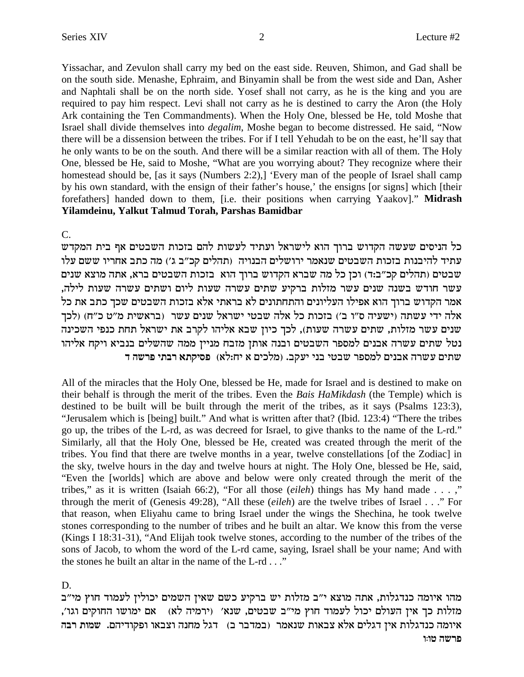Yissachar, and Zevulon shall carry my bed on the east side. Reuven, Shimon, and Gad shall be on the south side. Menashe, Ephraim, and Binyamin shall be from the west side and Dan, Asher and Naphtali shall be on the north side. Yosef shall not carry, as he is the king and you are required to pay him respect. Levi shall not carry as he is destined to carry the Aron (the Holy Ark containing the Ten Commandments). When the Holy One, blessed be He, told Moshe that Israel shall divide themselves into *degalim*, Moshe began to become distressed. He said, "Now there will be a dissension between the tribes. For if I tell Yehudah to be on the east, he'll say that he only wants to be on the south. And there will be a similar reaction with all of them. The Holy One, blessed be He, said to Moshe, "What are you worrying about? They recognize where their homestead should be, [as it says (Numbers 2:2),] 'Every man of the people of Israel shall camp by his own standard, with the ensign of their father's house,' the ensigns [or signs] which [their forefathers] handed down to them, [i.e. their positions when carrying Yaakov]." **Midrash Yilamdeinu, Yalkut Talmud Torah, Parshas Bamidbar**

C.

כל הניסים שעשה הקדוש ברוך הוא לישראל ועתיד לעשות להם בזכות השבטים אף בית המקדש עתיד להיבנות בזכות השבטים שנאמר ירושלים הבנויה (תהלים קכ"ב ג') מה כתב אחריו ששם עלו שבטים (תהלים קכ״ב:ד) וכן כל מה שברא הקדוש ברוך הוא בזכות השבטים ברא, אתה מוצא שנים עשר חודש בשנה שנים עשר מזלות ברקיע שתים עשרה שעות ליום ושתים עשרה שעות לילה, אמר הקדוש ברוך הוא אפילו העליונים והתחתונים לא בראתי אלא בזכות השבטים שכך כתב את כל לה ידי עשתה (ישעיה ס"ו ב') בזכות כל אלה שבטי ישראל שנים עשר (בראשית מ"ט כ"ח) (לכך .<br>שנים עשר מזלות, שתים עשרה שעות), לכך כיון שבא אליהו לקרב את ישראל תחת כנפי השכינה נטל שתים עשרה אבנים למספר השבטים ובנה אותן מזבח מניין ממה שהשלים בנביא ויקח אליהו שתים עשרה אבנים למספר שבטי בני יעקב. (מלכים א יח:לא) פסיקתא רבתי פרשה ד

All of the miracles that the Holy One, blessed be He, made for Israel and is destined to make on their behalf is through the merit of the tribes. Even the *Bais HaMikdash* (the Temple) which is destined to be built will be built through the merit of the tribes, as it says (Psalms 123:3), "Jerusalem which is [being] built." And what is written after that? (Ibid. 123:4) "There the tribes go up, the tribes of the L-rd, as was decreed for Israel, to give thanks to the name of the L-rd." Similarly, all that the Holy One, blessed be He, created was created through the merit of the tribes. You find that there are twelve months in a year, twelve constellations [of the Zodiac] in the sky, twelve hours in the day and twelve hours at night. The Holy One, blessed be He, said, "Even the [worlds] which are above and below were only created through the merit of the tribes," as it is written (Isaiah 66:2), "For all those (*eileh*) things has My hand made . . . ," through the merit of (Genesis 49:28), "All these (*eileh*) are the twelve tribes of Israel . . ." For that reason, when Eliyahu came to bring Israel under the wings the Shechina, he took twelve stones corresponding to the number of tribes and he built an altar. We know this from the verse (Kings I 18:31-31), "And Elijah took twelve stones, according to the number of the tribes of the sons of Jacob, to whom the word of the L-rd came, saying, Israel shall be your name; And with the stones he built an altar in the name of the L-rd . . ."

D.

מהו איומה כנדגלות, אתה מוצא י"ב מזלות יש ברקיע כשם שאין השמים יכולין לעמוד חוץ מי"ב , מזלות כך אין העולם יכול לעמוד חוץ מי"ב שבטים, שנא' (ירמיה לא) אם ימושו החוקים וגו' ציומה כנדגלות אין דגלים אלא צבאות שנאמר (במדבר ב) | דגל מחנה וצבאו ופקודיהם. | שמות רבה **e:eh dyxt**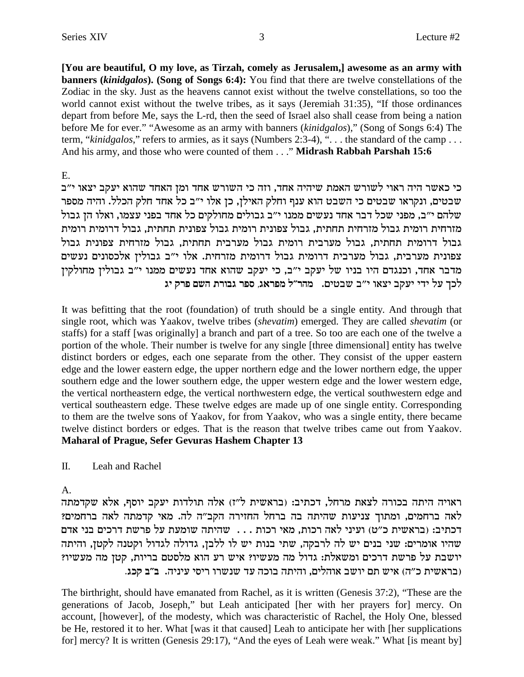**[You are beautiful, O my love, as Tirzah, comely as Jerusalem,] awesome as an army with banners (***kinidgalos***). (Song of Songs 6:4):** You find that there are twelve constellations of the Zodiac in the sky. Just as the heavens cannot exist without the twelve constellations, so too the world cannot exist without the twelve tribes, as it says (Jeremiah 31:35), "If those ordinances depart from before Me, says the L-rd, then the seed of Israel also shall cease from being a nation before Me for ever." "Awesome as an army with banners (*kinidgalos*)," (Song of Songs 6:4) The term, "*kinidgalos*," refers to armies, as it says (Numbers 2:3-4), ". . . the standard of the camp . . . And his army, and those who were counted of them . . ."**Midrash Rabbah Parshah 15:6**

## E.

י כי כאשר היה ראוי לשורש האמת שיהיה אחד, וזה כי השורש אחד ומן האחד שהוא יעקב יצאו י"ב שבטים, ונקראו שבטים כי השבט הוא ענף וחלק האילן, כן אלו י"ב כל אחד חלק הכלל. והיה מספר שלהם י״ב, מפני שכל דבר אחד נעשים ממנו י״ב גבולים מחולקים כל אחד בפני עצמו, ואלו הן גבול מזרחית רומית גבול מזרחית תחתית, גבול צפונית רומית גבול צפונית תחתית, גבול דרומית רומית גבול דרומית תחתית, גבול מערבית רומית גבול מערבית תחתית, גבול מזרחית צפונית גבול צפונית מערבית, גבול מערבית דרומית גבול דרומית מזרחית. אלו י"ב גבולין אלכסונים נעשים מדבר אחד, וכנגדם היו בניו של יעקב י"ב, כי יעקב שהוא אחד נעשים ממנו י"ב גבולין מחולקין **bi wxt myd zxeab xtq ,b`xtn l"xdn** .mihay a"i e`vi awri ici lr jkl

It was befitting that the root (foundation) of truth should be a single entity. And through that single root, which was Yaakov, twelve tribes (*shevatim*) emerged. They are called *shevatim* (or staffs) for a staff [was originally] a branch and part of a tree. So too are each one of the twelve a portion of the whole. Their number is twelve for any single [three dimensional] entity has twelve distinct borders or edges, each one separate from the other. They consist of the upper eastern edge and the lower eastern edge, the upper northern edge and the lower northern edge, the upper southern edge and the lower southern edge, the upper western edge and the lower western edge, the vertical northeastern edge, the vertical northwestern edge, the vertical southwestern edge and vertical southeastern edge. These twelve edges are made up of one single entity. Corresponding to them are the twelve sons of Yaakov, for from Yaakov, who was a single entity, there became twelve distinct borders or edges. That is the reason that twelve tribes came out from Yaakov. **Maharal of Prague, Sefer Gevuras Hashem Chapter 13**

## II. Leah and Rachel

A.

ראויה היתה בכורה לצאת מרחל, דכתיב: (בראשית ל"ז) אלה תולדות יעקב יוסף, אלא שקדמתה לאה ברחמים, ומתוך צניעות שהיתה בה ברחל החזירה הקב"ה לה. מאי קדמתה לאה ברחמים? דכתיב: (בראשית כ"ט) ועיני לאה רכות, מאי רכות . . . שהיתה שומעת על פרשת דרכים בני אדם שהיו אומרים: שני בנים יש לה לרבקה, שתי בנות יש לו ללבן, גדולה לגדול וקטנה לקטן, והיתה יושבת על פרשת דרכים ומשאלת: גדול מה מעשיו? איש רע הוא מלסטם בריות, קטן מה מעשיו? . <u>ב"א מית כ"ח) איש תם יושב אוהלים, והיתה בוכה עד שנשרו ריסי עיניה. ב"ב קכג</u>"

The birthright, should have emanated from Rachel, as it is written (Genesis 37:2), "These are the generations of Jacob, Joseph," but Leah anticipated [her with her prayers for] mercy. On account, [however], of the modesty, which was characteristic of Rachel, the Holy One, blessed be He, restored it to her. What [was it that caused] Leah to anticipate her with [her supplications for] mercy? It is written (Genesis 29:17), "And the eyes of Leah were weak." What [is meant by]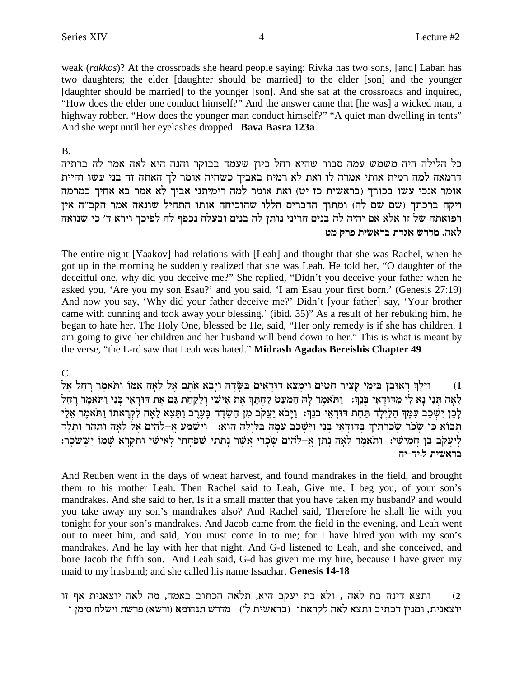weak (rakkos)? At the crossroads she heard people saying: Rivka has two sons, [and] Laban has two daughters; the elder [daughter should be married] to the elder [son] and the younger [daughter should be married] to the younger [son]. And she sat at the crossroads and inquired, "How does the elder one conduct himself?" And the answer came that [he was] a wicked man, a highway robber. "How does the younger man conduct himself?" "A quiet man dwelling in tents" And she wept until her eyelashes dropped. Bava Basra 123a

**B.** 

כל הלילה היה משמש עמה סבור שהיא רחל כיון שעמד בבוקר והנה היא לאה אמר לה ברתיה דרמאה למה רמית אותי אמרה לו ואת לא רמית באביך כשהיה אומר לך האתה זה בני עשו והיית אומר אנכי עשו בכורך (בראשית כז יט) ואת אומר למה רימיתני אביך לא אמר בא אחיך במרמה ויקח ברכתך (שם שם לה) ומתוך הדברים הללו שהוכיחה אותו התחיל שונאה אמר הקב"ה אין רפואתה של זו אלא אם יהיה לה בנים הריני נותן לה בנים ובעלה נכפף לה לפיכך וירא ד׳ כי שנואה לאה. מדרש אגדת בראשית פרק מט

The entire night [Yaakov] had relations with [Leah] and thought that she was Rachel, when he got up in the morning he suddenly realized that she was Leah. He told her, "O daughter of the deceitful one, why did you deceive me?" She replied, "Didn't you deceive your father when he asked you, 'Are you my son Esau?' and you said, 'I am Esau your first born.' (Genesis 27:19) And now you say, 'Why did your father deceive me?' Didn't [your father] say, 'Your brother came with cunning and took away your blessing.' (ibid. 35)" As a result of her rebuking him, he began to hate her. The Holy One, blessed be He, said, "Her only remedy is if she has children. I am going to give her children and her husband will bend down to her." This is what is meant by the verse, "the L-rd saw that Leah was hated." Midrash Agadas Bereishis Chapter 49

וילך ראובן בימי קציר חטים וימצא דודאים בשדה ויבא אתם אל לאה אמו ותאמר רחל אל  $(1)$ לְאָה תִּנִי נַא לִי מִדוּדָאֵי בַּנָךְ: 「וַתֹּאמַר לַה הַמִעַט קַחִתְּךְ אֶת אִישִׁי וְלַקַחַת גַּם אֶת דּוּדָאֵי בְּנִי וַתֹּאמֶר רַחָל לְבֵן יִשְׁכַּב עִמְּךְ הַלַּיְלָה תַּחַת דּוּדָאֵי בְנֵךְ: וַיָּבֹא יַעֲקֹב מִן הַשָּׂדֶה בָּעֶרֶב וַתֵּצֵא לֵאָה לִקְרָאתו וַתֹּאמֵר אֵלַי תָבוֹא כִּי שָׂכֹר שְׂכַרְתִּיךְ בְּדוּדָאֵי בְּנִי וַיִּשְׁכָּב עִמְה בַּלַּיְלָה הוּא: וַיִּשְׁמַע אֱ–לֹהִים אֶל לָאָה וַתַּהַר וַתֵּלִֵד לִיַעֲקֹב בֵּן חֲמִישִׂי: וַתֹּאמֶר לָאָה נַתַן אֵ–לֹהִים שְׂכָרִי אֲשֶׁר נַתַתִּי שִׁפְחַתִי לְאִישִׁי וַתְקְרָא שִׁמֹו יַשַּׂשֹׁכָר: בראשית ליד-יה

And Reuben went in the days of wheat harvest, and found mandrakes in the field, and brought them to his mother Leah. Then Rachel said to Leah, Give me, I beg you, of your son's mandrakes. And she said to her, Is it a small matter that you have taken my husband? and would you take away my son's mandrakes also? And Rachel said, Therefore he shall lie with you tonight for your son's mandrakes. And Jacob came from the field in the evening, and Leah went out to meet him, and said, You must come in to me; for I have hired you with my son's mandrakes. And he lay with her that night. And G-d listened to Leah, and she conceived, and bore Jacob the fifth son. And Leah said, G-d has given me my hire, because I have given my maid to my husband; and she called his name Issachar. Genesis 14-18

ותצא דינה בת לאה , ולא בת יעקב היא, תלאה הכתוב באמה, מה לאה יוצאנית אף זו  $(2)$ יוצאנית, ומנין דכתיב ותצא לאה לקראתו (בראשית ל׳) מדרש תנחומא (ורשא) פרשת וישלח סימן ז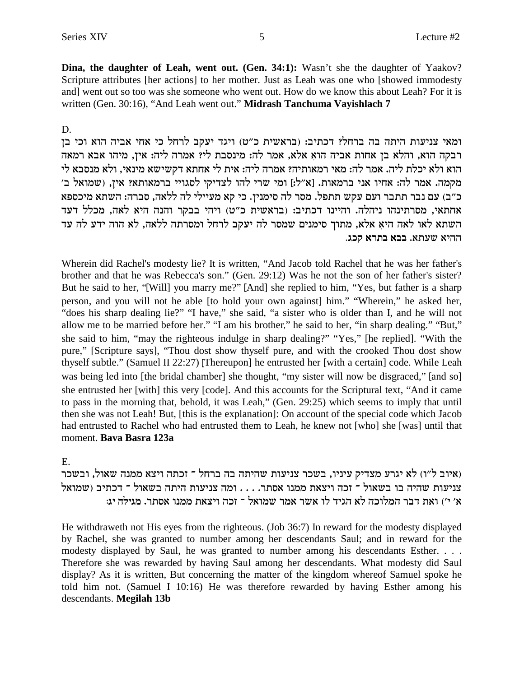**Dina, the daughter of Leah, went out. (Gen. 34:1):** Wasn't she the daughter of Yaakov? Scripture attributes [her actions] to her mother. Just as Leah was one who [showed immodesty and] went out so too was she someone who went out. How do we know this about Leah? For it is written (Gen. 30:16), "And Leah went out."**Midrash Tanchuma Vayishlach 7**

#### D.

ומאי צניעות היתה בה ברחל? דכתיב: (בראשית כ"ט) ויגד יעקב לרחל כי אחי אביה הוא וכי בן רבקה הוא, והלא בן אחות אביה הוא אלא, אמר לה: מינסבת לי? אמרה ליה: אין, מיהו אבא רמאה הוא ולא יכלת ליה. אמר לה: מאי רמאותיה? אמרה ליה: אית לי אחתא דקשישא מינאי, ולא מנסבא לי 'מקמה. אמר לה: אחיו אני ברמאות. [א"ל:] ומי שרי להו לצדיקי לסגויי ברמאותא? אין, (שמואל ב כ״ב) עם נבר תתבר ועם עקש תתפל. מסר לה סימנין. כי קא מעיילי לה ללאה, סברה: השתא מיכספא אחתאי, מסרתינהו ניהלה. והיינו דכתיב: (בראשית כ"ט) ויהי בבקר והנה היא לאה, מכלל דעד השתא לאו לאה היא אלא, מתוך סימנים שמסר לה יעקב לרחל ומסרתה ללאה, לא הוה ידע לה עד **.bkw `xza `aa** .`zry `idd

Wherein did Rachel's modesty lie? It is written, "And Jacob told Rachel that he was her father's brother and that he was Rebecca's son." (Gen. 29:12) Was he not the son of her father's sister? But he said to her, "**[**Will] you marry me?"**[**And] she replied to him, "Yes, but father is a sharp person, and you will not he able [to hold your own against] him." "Wherein," he asked her, "does his sharp dealing lie?" "I have," she said, "a sister who is older than I, and he will not allow me to be married before her." "I am his brother**,**" he said to her, "in sharp dealing." "But," she said to him, "may the righteous indulge in sharp dealing?" "Yes," [he replied]. "With the pure," [Scripture says], "Thou dost show thyself pure, and with the crooked Thou dost show thyself subtle." (Samuel II 22:27) **[**Thereupon] he entrusted her [with a certain] code. While Leah was being led into [the bridal chamber] she thought, "my sister will now be disgraced,"**[**and so] she entrusted her [with] this very [code]. And this accounts for the Scriptural text, "And it came to pass in the morning that, behold, it was Leah," (Gen. 29:25) which seems to imply that until then she was not Leah! But, [this is the explanation]: On account of the special code which Jacob had entrusted to Rachel who had entrusted them to Leah, he knew not [who] she [was] until that moment. **Bava Basra 123a**

E.

איוב ל"ו) לא יגרע מצדיק עיניו, בשכר צניעות שהיתה בה ברחל ־ זכתה ויצא ממנה שאול, ובשכר (איום ה צניעות שהיה בו בשאול <sup>ב</sup> זכה ויצאת ממנו אסתר. . . . ומה צניעות היתה בשאול <sup>ב</sup> דכתיב (שמואל : **a'** י') ואת דבר המלוכה לא הגיד לו אשר אמר שמואל ־ זכה ויצאת ממנו אסתר. מגילה יג

He withdraweth not His eyes from the righteous. (Job 36:7) In reward for the modesty displayed by Rachel, she was granted to number among her descendants Saul; and in reward for the modesty displayed by Saul, he was granted to number among his descendants Esther. . . . Therefore she was rewarded by having Saul among her descendants. What modesty did Saul display? As it is written, But concerning the matter of the kingdom whereof Samuel spoke he told him not. (Samuel I 10:16) He was therefore rewarded by having Esther among his descendants. **Megilah 13b**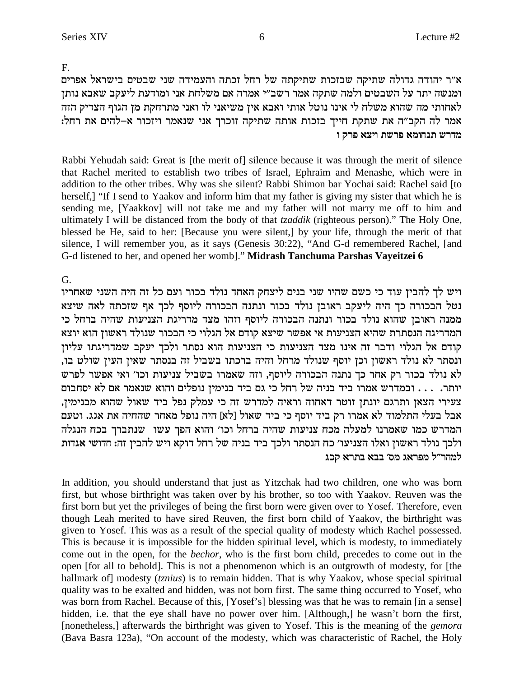$F_{\cdot}$ 

א״ר יהודה גדולה שתיקה שבזכות שתיקתה של רחל זכתה והעמידה שני שבטים בישראל אפרים ומנשה יתר על השבטים ולמה שתקה אמר רשב״י אמרה אם משלחת אני ומודעת ליעקב שאבא נותן לאחותי מה שהוא משלח לי אינו נוטל אותי ואבא אין משיאני לו ואני מתרחקת מן הגוף הצדיק הזה אמר לה הקב"ה את שתקת חייך בזכות אותה שתיקה זוכרך אני שנאמר ויזכור א-להים את רחל: מדרש תנחומא פרשת ויצא פרק ו

Rabbi Yehudah said: Great is [the merit of] silence because it was through the merit of silence that Rachel merited to establish two tribes of Israel, Ephraim and Menashe, which were in addition to the other tribes. Why was she silent? Rabbi Shimon bar Yochai said: Rachel said [to herself,] "If I send to Yaakov and inform him that my father is giving my sister that which he is sending me, [Yaakkov] will not take me and my father will not marry me off to him and ultimately I will be distanced from the body of that *tzaddik* (righteous person)." The Holy One, blessed be He, said to her: [Because you were silent,] by your life, through the merit of that silence, I will remember you, as it says (Genesis 30:22), "And G-d remembered Rachel, [and G-d listened to her, and opened her womb]." Midrash Tanchuma Parshas Vayeitzei 6

#### $G<sub>1</sub>$

ויש לך להבין עוד כי כשם שהיו שני בנים ליצחק האחד נולד בכור ועם כל זה היה השני שאחריו נטל הבכורה כך היה ליעקב ראובן נולד בכור ונתנה הבכורה ליוסף לכך אף שזכתה לאה שיצא ממנה ראובן שהוא נולד בכור ונתנה הבכורה ליוסף וזהו מצד מדריגת הצניעות שהיה ברחל כי המדריגה הנסתרת שהיא הצניעות אי אפשר שיצא קודם אל הגלוי כי הבכור שנולד ראשון הוא יוצא קודם אל הגלוי ודבר זה אינו מצד הצניעות כי הצניעות הוא נסתר ולכך יעקב שמדריגתו עליון ונסתר לא נולד ראשון וכן יוסף שנולד מרחל והיה ברכתו בשביל זה בנסתר שאין העין שולט בו, לא נולד בכור רק אחר כך נתנה הבכורה ליוסף, וזה שאמרו בשביל צניעות וכו' ואי אפשר לפרש יותר. . . . ובמדרש אמרו ביד בניה של רחל כי גם ביד בנימין נופלים והוא שנאמר אם לא יסחבום צעירי הצאן ותרגם יונתן זוטר דאחוה וראיה למדרש זה כי עמלק נפל ביד שאול שהוא מבנימין, אבל בעלי התלמוד לא אמרו רק ביד יוסף כי ביד שאול [לא] היה נופל מאחר שהחיה את אגג. וטעם המדרש כמו שאמרנו למעלה מכח צניעות שהיה ברחל וכו׳ והוא הפך עשו שנתברך בכח הנגלה ולכך נולד ראשון ואלו הצניעו' כח הנסתר ולכך ביד בניה של רחל דוקא ויש להבין זה: חדושי אגדות למהר״ל מפראג מס׳ בבא בתרא קכג

In addition, you should understand that just as Yitzchak had two children, one who was born first, but whose birthright was taken over by his brother, so too with Yaakov. Reuven was the first born but yet the privileges of being the first born were given over to Yosef. Therefore, even though Leah merited to have sired Reuven, the first born child of Yaakov, the birthright was given to Yosef. This was as a result of the special quality of modesty which Rachel possessed. This is because it is impossible for the hidden spiritual level, which is modesty, to immediately come out in the open, for the *bechor*, who is the first born child, precedes to come out in the open [for all to behold]. This is not a phenomenon which is an outgrowth of modesty, for [the hallmark of] modesty (tznius) is to remain hidden. That is why Yaakov, whose special spiritual quality was to be exalted and hidden, was not born first. The same thing occurred to Yosef, who was born from Rachel. Because of this, [Yosef's] blessing was that he was to remain [in a sense] hidden, i.e. that the eye shall have no power over him. [Although,] he wasn't born the first, [nonetheless,] afterwards the birthright was given to Yosef. This is the meaning of the *gemora* (Bava Basra 123a), "On account of the modesty, which was characteristic of Rachel, the Holy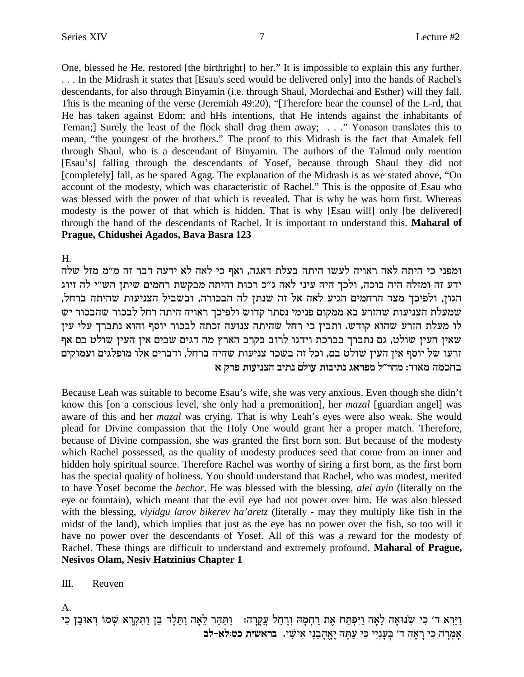One, blessed he He, restored [the birthright] to her." It is impossible to explain this any further. . . . In the Midrash it states that [Esau's seed would be delivered only] into the hands of Rachel's descendants, for also through Binyamin (i.e. through Shaul, Mordechai and Esther) will they fall. This is the meaning of the verse (Jeremiah 49:20), "[Therefore hear the counsel of the L-rd, that He has taken against Edom; and hHs intentions, that He intends against the inhabitants of Teman;] Surely the least of the flock shall drag them away; . . ." Yonason translates this to mean, "the youngest of the brothers." The proof to this Midrash is the fact that Amalek fell through Shaul, who is a descendant of Binyamin. The authors of the Talmud only mention [Esau's] falling through the descendants of Yosef, because through Shaul they did not [completely] fall, as he spared Agag. The explanation of the Midrash is as we stated above, "On account of the modesty, which was characteristic of Rachel." This is the opposite of Esau who was blessed with the power of that which is revealed. That is why he was born first. Whereas modesty is the power of that which is hidden. That is why [Esau will] only [be delivered] through the hand of the descendants of Rachel. It is important to understand this. **Maharal of Prague, Chidushei Agados, Bava Basra 123**

H.

ומפני כי היתה לאה ראויה לעשו היתה בעלת דאגה, ואף כי לאה לא ידעה דבר זה מ"מ מזל שלה ידע זה ומזלה היה בוכה, ולכך היה עיני לאה ג"כ רכות והיתה מבקשת רחמים שיתן הש"י לה זיוג הגון, ולפיכך מצד הרחמים הגיע לאה אל זה שנתן לה הבכורה, ובשביל הצניעות שהיתה ברחל, שמעלת הצניעות שהזרע בא ממקום פנימי נסתר קדוש ולפיכך ראויה היתה רחל לבכור שהבכור יש לו מעלת הזרע שהוא קודש. ותבין כי רחל שהיתה צנועה זכתה לבכור יוסף והוא נתברך עלי עין שאין העין שולט, גם נתברך בברכת וידגו לרוב בקרב הארץ מה דגים שבים אין העין שולט בם אף זרעו של יוסף אין העין שולט בם, וכל זה בשכר צניעות שהיה ברחל, ודברים אלו מופלגים ועמוקים **` wxt zeripvd aizp mler zeaizp b`xtn l"xdn** :ce`n dnkga

Because Leah was suitable to become Esau's wife, she was very anxious. Even though she didn't know this [on a conscious level, she only had a premonition], her *mazal* [guardian angel] was aware of this and her *mazal* was crying. That is why Leah's eyes were also weak. She would plead for Divine compassion that the Holy One would grant her a proper match. Therefore, because of Divine compassion, she was granted the first born son. But because of the modesty which Rachel possessed, as the quality of modesty produces seed that come from an inner and hidden holy spiritual source. Therefore Rachel was worthy of siring a first born, as the first born has the special quality of holiness. You should understand that Rachel, who was modest, merited to have Yosef become the *bechor*. He was blessed with the blessing, *alei ayin* (literally on the eye or fountain), which meant that the evil eye had not power over him. He was also blessed with the blessing, *viyidgu larov bikerev ha'aretz* (literally - may they multiply like fish in the midst of the land), which implies that just as the eye has no power over the fish, so too will it have no power over the descendants of Yosef. All of this was a reward for the modesty of Rachel. These things are difficult to understand and extremely profound. **Maharal of Prague, Nesivos Olam, Nesiv Hatzinius Chapter 1**

## III. Reuven

A.

וַיַּרְא ד׳ כִּי שְׂנוּאָה לֵאָה וַיִּפְתַּח אֶת רַחְמַהּ וְרַחֵל עֲקַרָה: ) וַתַּהַר לֵאָה וַתֵּלֶד בֵּן וַתִּקְרַא שִׁמוֹ רְאוּבֶן כִּי אָמְרָה כִּי רָאָה ד<sup>ַ,</sup> בִּעָנִיִי כִּי עַתָּה יֵאֱהָבַנִי אִישִׁי. בראשית כטולא-לב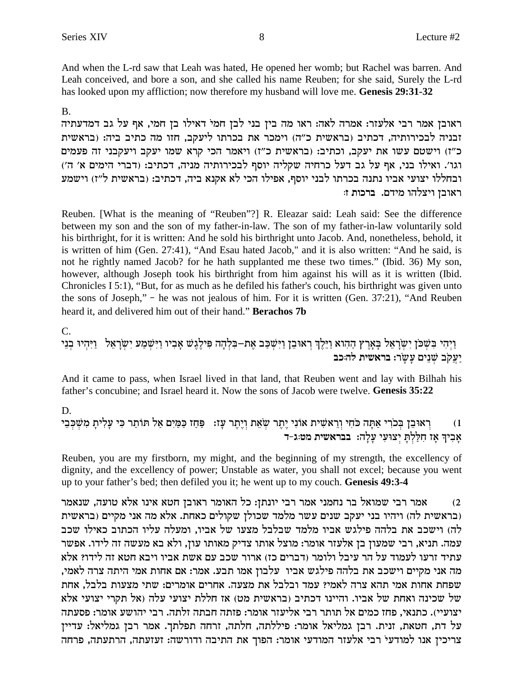And when the L-rd saw that Leah was hated, He opened her womb; but Rachel was barren. And Leah conceived, and bore a son, and she called his name Reuben; for she said, Surely the L-rd has looked upon my affliction; now therefore my husband will love me. **Genesis 29:31-32**

#### B.

ראובן אמר רבי אלעזר: אמרה לאה: ראו מה בין בני לבן חמי דאילו בן חמי, אף על גב דמדעתיה זבניה לבכירותיה, דכתיב (בראשית כ"ה) וימכר את בכרתו ליעקב, חזו מה כתיב ביה: (בראשית כ"ז) וישטם עשו את יעקב, וכתיב: (בראשית כ"ז) ויאמר הכי קרא שמו יעקב ויעקבני זה פעמים וגו׳. ואילו בני, אף על גב דעל כרחיה שקליה יוסף לבכירותיה מניה, דכתיב: (דברי הימים א׳ ה׳) ובחללו יצועי אביו נתנה בכרתו לבני יוסף, אפילו הכי לא אקנא ביה, דכתיב: (בראשית ל"ז) וישמע **ראובן ויצלהו מידם. ברכות ז**:

Reuben. [What is the meaning of "Reuben"?] R. Eleazar said: Leah said: See the difference between my son and the son of my father-in-law. The son of my father-in-law voluntarily sold his birthright, for it is written: And he sold his birthright unto Jacob. And, nonetheless, behold, it is written of him (Gen. 27:41), "And Esau hated Jacob," and it is also written: "And he said, is not he rightly named Jacob? for he hath supplanted me these two times." (Ibid. 36) My son, however, although Joseph took his birthright from him against his will as it is written (Ibid. Chronicles I 5:1), "But, for as much as he defiled his father's couch, his birthright was given unto the sons of Joseph,"**-** he was not jealous of him. For it is written (Gen. 37:21), "And Reuben heard it, and delivered him out of their hand."**Berachos 7b**

#### $C_{\cdot}$

וַיִּהִי בִּשְׁכֹּן יִשְׂרָאֵל בַאֲרֵץ הַהִוא וַיֵּלֵךְ רְאוּבֵן וַיִּשְׁכָּב אֵת–בִּלְהָה פִּילֶגֵשׁ אַבְיו וַיִּשְׁמַע יִשְׂרָאֵל ] וַיִּהְיוּ בְנֵי יעקב שנים עשר: בראשית לה:כב

And it came to pass, when Israel lived in that land, that Reuben went and lay with Bilhah his father's concubine; and Israel heard it. Now the sons of Jacob were twelve. **Genesis 35:22**

#### D.

י Mֲ דָאוּבֵן בְּכֹרִי אַתָּה כֹּחִי וְרֵאשִׁית אוֹנִי יֶתֶר שְׂאֵת וְיֶתֶר עָז: פַּחַז כַּמַּיִם אַל תּוֹתַר כִּי עָלִיתָ מִשְׁכְּבֵי .<br>אביך אז חללת יצועי עלה: **בברא**שית מט:ג-ד

Reuben, you are my firstborn, my might, and the beginning of my strength, the excellency of dignity, and the excellency of power; Unstable as water, you shall not excel; because you went up to your father's bed; then defiled you it; he went up to my couch. **Genesis 49:3-4**

אמר רבי שמואל בר נחמני אמר רבי יונתן: כל האומר ראובן חטא אינו אלא טועה, שנאמר  $\,2\,$ בראשית לה) ויהיו בני יעקב שנים עשר מלמד שכולן שקולים כאחת. אלא מה אני מקיים (בראשית) לה) וישכב את בלהה פילגש אביו מלמד שבלבל מצעו של אביו, ומעלה עליו הכתוב כאילו שכב עמה. תניא, רבי שמעון בן אלעזר אומר: מוצל אותו צדיק מאותו עון, ולא בא מעשה זה לידו. אפשר י עתיד זרעו לעמוד על הר עיבל ולומר (דברים כז) ארור שכב עם אשת אביו ויבא חטא זה לידו? אלא מה אני מקיים וישכב את בלהה פילגש אביו עלבון אמו תבע. אמר: אם אחות אמי היתה צרה לאמי, שפחת אחות אמי תהא צרה לאמי? עמד ובלבל את מצעה. אחרים אומרים: שתי מצעות בלבל, אחת של שכינה ואחת של אביו. והיינו דכתיב (בראשית מט) אז חללת יצועי עלה (אל תקרי יצועי אלא יצועיי). כתנאי, פחז כמים אל תותר רבי אליעזר אומר: פזתה חבתה זלתה. רבי יהושע אומר: פסעתה  $\mathbf x$ על דת, חטאת, זנית. רבן גמליאל אומר: פיללתה, חלתה, זרחה תפלתך. אמר רבן גמליאל: עדיין צריכין אנו למודעי רבי אלעזר המודעי אומר: הפוך את התיבה ודורשה: זעזעתה, הרתעתה, פרחה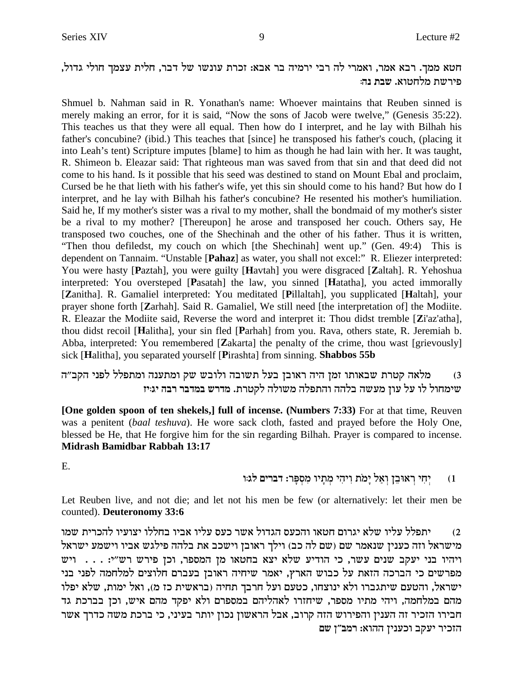## ,הטא ממך. רבא אמר, ואמרי לה רבי ירמיה בר אבא: זכרת עונשו של דבר, חלית עצמך חולי גדול פירשת מלחטוא. שבת **נ**ה:

Shmuel b. Nahman said in R. Yonathan's name: Whoever maintains that Reuben sinned is merely making an error, for it is said, "Now the sons of Jacob were twelve," (Genesis 35:22). This teaches us that they were all equal. Then how do I interpret, and he lay with Bilhah his father's concubine? (ibid.) This teaches that [since] he transposed his father's couch, (placing it into Leah's tent) Scripture imputes [blame] to him as though he had lain with her. It was taught, R. Shimeon b. Eleazar said: That righteous man was saved from that sin and that deed did not come to his hand. Is it possible that his seed was destined to stand on Mount Ebal and proclaim, Cursed be he that lieth with his father's wife, yet this sin should come to his hand? But how do I interpret, and he lay with Bilhah his father's concubine? He resented his mother's humiliation. Said he, If my mother's sister was a rival to my mother, shall the bondmaid of my mother's sister be a rival to my mother? [Thereupon] he arose and transposed her couch. Others say, He transposed two couches, one of the Shechinah and the other of his father. Thus it is written, "Then thou defiledst, my couch on which [the Shechinah] went up." (Gen. 49:4) This is dependent on Tannaim. "Unstable [**Pahaz**] as water, you shall not excel:" R. Eliezer interpreted: You were hasty [**P**aztah], you were guilty [**H**avtah] you were disgraced [**Z**altah]. R. Yehoshua interpreted: You oversteped [**P**asatah] the law, you sinned [**H**atatha], you acted immorally [**Z**anitha]. R. Gamaliel interpreted: You meditated [**P**illaltah], you supplicated [**H**altah], your prayer shone forth [**Z**arhah]. Said R. Gamaliel, We still need [the interpretation of] the Modiite. R. Eleazar the Modiite said, Reverse the word and interpret it: Thou didst tremble [**Z**i'az'atha], thou didst recoil [**H**alitha], your sin fled [**P**arhah] from you. Rava, others state, R. Jeremiah b. Abba, interpreted: You remembered [**Z**akarta] the penalty of the crime, thou wast [grievously] sick [**H**alitha], you separated yourself [**P**irashta] from sinning. **Shabbos 55b**

מלאה קטרת שבאותו זמן היה ראובן בעל תשובה ולובש שק ומתענה ומתפלל לפני הקב״ה  $\,3\,$ **fi:bi dax xacna yxcn** .zxhwl dleyn dltzde ddla dyrn oer lr el legniy

**[One golden spoon of ten shekels,] full of incense. (Numbers 7:33)** For at that time, Reuven was a penitent (*baal teshuva*). He wore sack cloth, fasted and prayed before the Holy One, blessed be He, that He forgive him for the sin regarding Bilhah. Prayer is compared to incense. **Midrash Bamidbar Rabbah 13:17**

E.

**e:bl mixac** :xR® qß n¶ eiz® nß id¶ ie¶ zoni® l`© eß oa• E`xß ig¶ iß (1

Let Reuben live, and not die; and let not his men be few (or alternatively: let their men be counted). **Deuteronomy 33:6**

יתפלל עליו שלא יגרום חטאו והכעס הגדול אשר כעס עליו אביו בחללו יצועיו להכרית שמו $\rho$ מישראל וזה כענין שנאמר שם (שם לה כב) וילך ראובן וישכב את בלהה פילגש אביו וישמע ישראל  $y_1, \ldots, y_n$ ויהיו בני יעקב שנים עשר, כי הודיע שלא יצא בחטאו מן המספר, וכן פירש רש"י: מפרשים כי הברכה הזאת על כבוש הארץ, יאמר שיחיה ראובן בעברם חלוצים למלחמה לפני בני ישראל, והטעם שיתגברו ולא ינוצחו, כטעם ועל חרבך תחיה (בראשית כז מ), ואל ימות, שלא יפלו מהם במלחמה, ויהי מתיו מספר, שיחזרו לאהליהם במספרם ולא יפקד מהם איש, וכן בברכת גד חבירו הזכיר זה הענין והפירוש הזה קרוב, אבל הראשון נכון יותר בעיני, כי ברכת משה כדרך אשר הזכיר יעקב וכענין ההוא: רמב"ן שם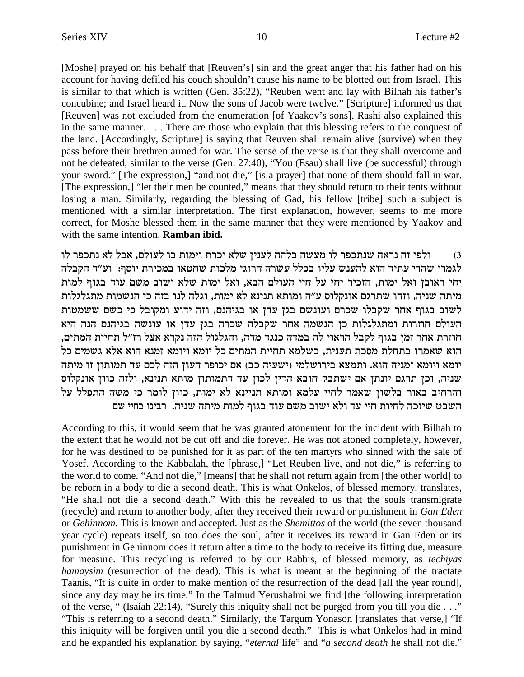[Moshe] prayed on his behalf that [Reuven's] sin and the great anger that his father had on his account for having defiled his couch shouldn't cause his name to be blotted out from Israel. This is similar to that which is written (Gen. 35:22), "Reuben went and lay with Bilhah his father's concubine; and Israel heard it. Now the sons of Jacob were twelve." [Scripture] informed us that [Reuven] was not excluded from the enumeration [of Yaakov's sons]. Rashi also explained this in the same manner. . . . There are those who explain that this blessing refers to the conquest of the land. [Accordingly, Scripture] is saying that Reuven shall remain alive (survive) when they pass before their brethren armed for war. The sense of the verse is that they shall overcome and not be defeated, similar to the verse (Gen. 27:40), "You (Esau) shall live (be successful) through your sword." [The expression,] "and not die," [is a prayer] that none of them should fall in war. [The expression,] "let their men be counted," means that they should return to their tents without losing a man. Similarly, regarding the blessing of Gad, his fellow [tribe] such a subject is mentioned with a similar interpretation. The first explanation, however, seems to me more correct, for Moshe blessed them in the same manner that they were mentioned by Yaakov and with the same intention. **Ramban ibid.**

ולפי זה נראה שנתכפר לו מעשה בלהה לענין שלא יכרת וימות בו לעולם, אבל לא נתכפר לו G לגמרי שהרי עתיד הוא להענש עליו בכלל עשרה הרוגי מלכות שחטאו במכירת יוסף: וע״ד הקבלה יחי ראובן ואל ימות, הזכיר יחי על חיי העולם הבא, ואל ימות שלא ישוב משם עוד בגוף למות מיתה שניה, וזהו שתרגם אונקלוס ע"ה ומותא תנינא לא ימות, וגלה לנו בזה כי הנשמות מתגלגלות לשוב בגוף אחר שקבלו שכרם ועונשם בגן עדן או בגיהנם, וזה ידוע ומקובל כי כשם ששמטות העולם חוזרות ומתגלגלות כן הנשמה אחר שקבלה שכרה בגן עדן או עונשה בגיהנם הנה היא חוזרת אחר זמן בגוף לקבל הראוי לה במדה כנגד מדה, והגלגול הזה נקרא אצל רז״ל תחיית המתים, הוא שאמרו בתחלת מסכת תענית, בשלמא תחיית המתים כל יומא ויומא זמנא הוא אלא גשמים כל יומא ויומא זמניה הוא. ותמצא בירושלמי (ישעיה כב) אם יכופר העון הזה לכם עד תמותון זו מיתה שניה, וכן תרגם יונתן אם ישתבק חובא הדין לכון עד דתמותון מותא תנינא, ולזה כוון אונקלוס והרחיב באור בלשון שאמר לחיי עלמא ומותא תניינא לא ימות, כוון לומר כי משה התפלל על **my iiga epiax** .dipy dzin zenl seba cer myn aeyi `le cr iig zeigl dkfiy hayd

According to this, it would seem that he was granted atonement for the incident with Bilhah to the extent that he would not be cut off and die forever. He was not atoned completely, however, for he was destined to be punished for it as part of the ten martyrs who sinned with the sale of Yosef. According to the Kabbalah, the [phrase,] "Let Reuben live, and not die," is referring to the world to come. "And not die," [means] that he shall not return again from [the other world] to be reborn in a body to die a second death. This is what Onkelos, of blessed memory, translates, "He shall not die a second death." With this he revealed to us that the souls transmigrate (recycle) and return to another body, after they received their reward or punishment in *Gan Eden* or *Gehinnom*. This is known and accepted. Just as the *Shemittos* of the world (the seven thousand year cycle) repeats itself, so too does the soul, after it receives its reward in Gan Eden or its punishment in Gehinnom does it return after a time to the body to receive its fitting due, measure for measure. This recycling is referred to by our Rabbis, of blessed memory, as *techiyas hamaysim* (resurrection of the dead). This is what is meant at the beginning of the tractate Taanis, "It is quite in order to make mention of the resurrection of the dead [all the year round], since any day may be its time." In the Talmud Yerushalmi we find [the following interpretation of the verse, " (Isaiah 22:14), "Surely this iniquity shall not be purged from you till you die . . ." "This is referring to a second death." Similarly, the Targum Yonason [translates that verse,] "If this iniquity will be forgiven until you die a second death." This is what Onkelos had in mind and he expanded his explanation by saying, "*eternal* life" and "*a second death* he shall not die."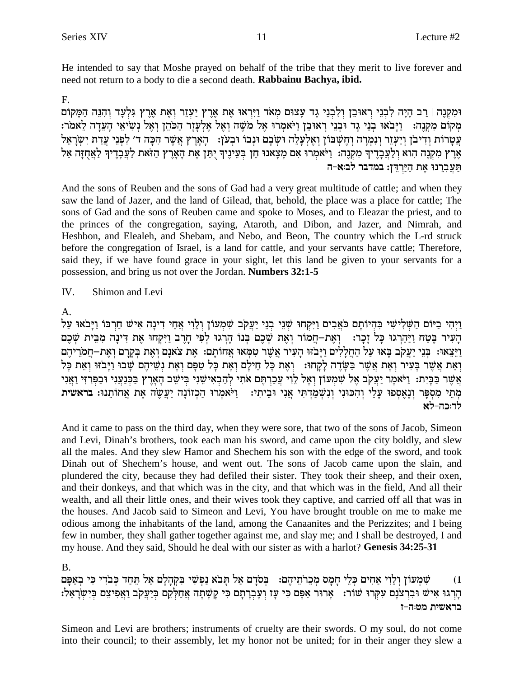He intended to say that Moshe prayed on behalf of the tribe that they merit to live forever and need not return to a body to die a second death. Rabbainu Bachya, ibid.

 $F_{\cdot}$ 

וּמִקְנֶה | רַב הָיָה לִבְנֵי רְאוּבֵן וְלִבְנֵי גָד עָצוּם מְאֹד וַיִּרְאוּ אֶת אֶרֶץ יַעְזֵר וְאֶת אֶרֶץ גִּלְעָד וְהִנֵּה הַמָּקוֹם מִקוֹם מְקְנֵה: [יַבֹאוּ בְנֵי גַד וּבְנֵי רְאוּבֶן וַיֹּאמְרוּ אֶל מֹשֶׁה וְאֶל אֵלְעָזַר הַכֹּהֶן וְאֶל נְשִׂיאֵי הָעֲדָה לֵאמֹר: עֲטָרוֹת וְדִיכֹן וְיַעְזֵר וְנִמְרָה וְחֶשְׁבּוֹן וְאֶלְעָלֵה וּשְׂבָם וּנְבוֹ וּבְעֹן: 「הָאָרֶץ אֲשֶׁר הִכָּה ד׳ לִפְּנֵי עֲדַת יִשְׂרָאֵל אֶרֶץ מִקְנֶה הָוא וְלַעֲבָדֶיךָ מִקְנֶה: וַיֹּאמִרוּ אִם מָצָאנוּ חֵן בִּעֵינֶיךְ יְתַּן אֶת הָאָרֶץ הַזֹּאת לַעֲבָדֶיךָ לַאֲחָזָה אַל תַעֲבְרֵנוּ אֵת הַיַּרְדֶן: במדבר לב:א-ה

And the sons of Reuben and the sons of Gad had a very great multitude of cattle; and when they saw the land of Jazer, and the land of Gilead, that, behold, the place was a place for cattle; The sons of Gad and the sons of Reuben came and spoke to Moses, and to Eleazar the priest, and to the princes of the congregation, saying, Ataroth, and Dibon, and Jazer, and Nimrah, and Heshbon, and Elealeh, and Shebam, and Nebo, and Beon, The country which the L-rd struck before the congregation of Israel, is a land for cattle, and your servants have cattle; Therefore, said they, if we have found grace in your sight, let this land be given to your servants for a possession, and bring us not over the Jordan. Numbers 32:1-5

#### IV. Shimon and Levi

## A.

וַיְהִי בַיּוֹם הַשָּׁלִישִׁי בִּהְיוֹתָם כֹּאֲבִים וַיִּקְחוּ שָׁנֵי בְנֵי יַעֲקֹב שָׁמִעוֹן וְלֵוִי אֲחֵי דִינָה אִישׁ חַרִבּוֹ וַיַּבֹאוּ עַל הַעִּיר בֵּטַח וַיַּהַרְגוּ כָּל זָכָר: וְאֶת-חֲמוֹר וְאֶת שָׁכֶם בְּנוֹ הָרְגוּ לְפִי חַרֶב וַיִּקְחוּ אֶת דִּינַה מְבֵית שָׁכֶם וַיֵּצֵאוּ: בִּנֵי יַעֲקֹב בָּאוּ עַל הָחֲלָלִים וַיַּבֹזוּ הַעִיר אֲשֶׁר טִמְאוּ אֲחותַם: אֶת צֹאנַם וְאֶת בִּקַרַם וְאֶת–חֲמֹרִיהֶם וְאֵת אֲשֶׁר בְּעִיר וְאֶת אֲשֶׁר בַּשָּׂדֶה לָקָחוּ: וְאֶת כָּל חֵילָם וְאֶת כָּל טַפָּם וְאֵת נִשֵּׁיהֵם שַׁבוּ וַיַּבֹּזוּ וְאֵת כַּל אֲשֶׁר בַּבְּיָת: וַיֹּאמֶר יַעֲקֹב אֶל שִׁמְעוֹן וְאֶל לֵוִי עֲכַרְתֶּם אֹתִי לְהַבְאִישֵׁנִי בִּישֵׁב הָאָרֶץ בַּבְּנַעֲנִי וּבִפְּרִזִי וַאֲנִי מְתֵי מְסְפָּר וְנֵאֲסְפוּ עָלַי וְהִכּוּנִי וְנִשְׁמַדְתִּי אֲנִי וּבֵיתִי: [יֹאמְרוּ הַכְזוֹנָה יַעֲשֶׂה אֶת אֲחוֹתֵנוּ: בראשית לד:כה-לא

And it came to pass on the third day, when they were sore, that two of the sons of Jacob, Simeon and Levi, Dinah's brothers, took each man his sword, and came upon the city boldly, and slew all the males. And they slew Hamor and Shechem his son with the edge of the sword, and took Dinah out of Shechem's house, and went out. The sons of Jacob came upon the slain, and plundered the city, because they had defiled their sister. They took their sheep, and their oxen, and their donkeys, and that which was in the city, and that which was in the field, And all their wealth, and all their little ones, and their wives took they captive, and carried off all that was in the houses. And Jacob said to Simeon and Levi, You have brought trouble on me to make me odious among the inhabitants of the land, among the Canaanites and the Perizzites; and I being few in number, they shall gather together against me, and slay me; and I shall be destroyed, I and my house. And they said, Should he deal with our sister as with a harlot? Genesis 34:25-31

## $B<sub>1</sub>$

שִׁמְעוֹן וְלֵוִי אַחִים כְּלֵי חָמָס מִכֵרתֵיהֶם: בְּסֹדָם אַל תַּבֹא נַפְשִׁי בְּקְהָלָם אַל תֵּחַד כְּבֹדִי כִּי בְאַפָּם  $(1)$ הָרְגוּ אִישׁ וּבְרְצֹנָם עַקְרוּ שׁוֹר: אָרוּר אַפָּם כִּי עָז וְעֵבְרָתָם כִּי קָשָׁתָה אֲחַלְקֵם בְּיַעֲקֹב וַאֲפִיצֵם בִּיְשְׂרָאֵל: בראשית מט:ה-ז

Simeon and Levi are brothers; instruments of cruelty are their swords. O my soul, do not come into their council; to their assembly, let my honor not be united; for in their anger they slew a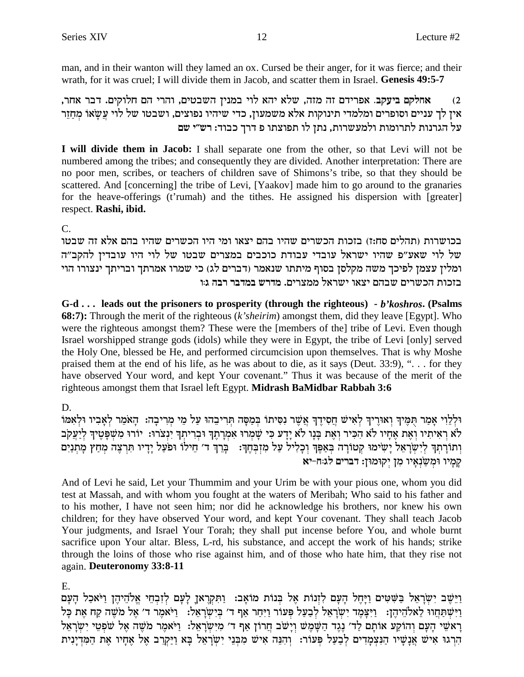man, and in their wanton will they lamed an ox. Cursed be their anger, for it was fierce; and their wrath, for it was cruel; I will divide them in Jacob, and scatter them in Israel. Genesis 49:5-7

אחלקם ביעקב. אפרידם זה מזה, שלא יהא לוי במנין השבטים, והרי הם חלוקים. דבר אחר,  $(2)$ אין לך עניים וסופרים ומלמדי תינוקות אלא משמעון, כדי שיהיו נפוצים, ושבטו של לוי עשאו מחזר על הגרנות לתרומות ולמעשרות, נתן לו תפוצתו פ דרך כבוד: רש״י שם

I will divide them in Jacob: I shall separate one from the other, so that Levi will not be numbered among the tribes; and consequently they are divided. Another interpretation: There are no poor men, scribes, or teachers of children save of Shimons's tribe, so that they should be scattered. And [concerning] the tribe of Levi, [Yaakov] made him to go around to the granaries for the heave-offerings (t'rumah) and the tithes. He assigned his dispersion with [greater] respect. Rashi, ibid.

 $\mathsf{C}$ 

בכושרות (תהלים סח:ז) בזכות הכשרים שהיו בהם יצאו ומי היו הכשרים שהיו בהם אלא זה שבטו של לוי שאע״פ שהיו ישראל עובדי עבודת כוכבים במצרים שבטו של לוי היו עובדין להקב״ה ומליז עצמז לפיכך משה מקלסז בסוף מיתתו שנאמר (דברים לג) כי שמרו אמרתך ובריתך ינצורו הוי בזכות הכשרים שבהם יצאו ישראל ממצרים. מדרש במדבר רבה גוו

 $G-d...$  leads out the prisoners to prosperity (through the righteous) - b'koshros. (Psalms **68:7):** Through the merit of the righteous  $(k$ 'sheirim) amongst them, did they leave [Egypt]. Who were the righteous amongst them? These were the [members of the] tribe of Levi. Even though Israel worshipped strange gods (idols) while they were in Egypt, the tribe of Levi [only] served the Holy One, blessed be He, and performed circumcision upon themselves. That is why Moshe praised them at the end of his life, as he was about to die, as it says (Deut. 33:9), "... for they have observed Your word, and kept Your covenant." Thus it was because of the merit of the righteous amongst them that Israel left Egypt. Midrash BaMidbar Rabbah 3:6

D.

וּלְלֵוִי אָמַר תָּמֶיךָ וְאוּרֶיךָ לְאִישׁ חֲסִידֶךְ אֲשֶׁר נִסִּיתוֹ בְּמַסָּה תְּרִיבֵהוּ עַל מֵי מִרִיבָה: הָאֹמֵר לְאָבִיו וּלְאִמּוֹ לֹא רְאִיתִיו וְאֶת אֶחָיו לֹא הִכְּיר וְאֶת בַּנַו לֹא יַדַע כִּי שַׁמְרוּ אִמְרַתְךָ וּבְרִיתְךָ יִנְצֹרוּ: יוֹרוּ מִשְׁפַּטֵיךְ לִיַעֲקֹב וְתוֹרְתְךָ לְיִשְׂרָאֵל יָשִׂימוּ קְטוֹרָה בְּאַפֶּךְ וְכָלִיל עַל מִזְבְּחֶךָ: בְרֵךְ ד׳ חֵילוֹ וּפֹעַל יָדָיו תִּרְצֶה מְחַץ מְתְנַיִם קמיו ומשנאיו מז יקומון: דברים לג:ח-יא

And of Levi he said, Let your Thummim and your Urim be with your pious one, whom you did test at Massah, and with whom you fought at the waters of Meribah; Who said to his father and to his mother, I have not seen him; nor did he acknowledge his brothers, nor knew his own children; for they have observed Your word, and kept Your covenant. They shall teach Jacob Your judgments, and Israel Your Torah; they shall put incense before You, and whole burnt sacrifice upon Your altar. Bless, L-rd, his substance, and accept the work of his hands; strike through the loins of those who rise against him, and of those who hate him, that they rise not again. Deuteronomy 33:8-11

Е.

וישב ישראל בשטים ויחל העם לזנות אל בנות מואב: ותקראן לעם לזבחי אלהיהן ויאכל העם וַיְּשֶׁתַּחֲוֹוּ לְאַלְהֵיהֶן: [וַיַּצֲמֵד יִשְׂרָאֵל לְבַעֲל פִּעוֹר וַיְחָר אַף ד׳ בִּיְשֵׂרָאֲל: [וֹיֹאמֵר ד׳ אֵל מֹשֶׁה קַח אֶת כַּל רַאשֵׁי הַעֲם וְהוֹקַע אוֹתַם לַד' נֵגֵד הַשָּׁמָשׁ וְיַשׁב חֲרוֹן אַף ד' מִיְשַׂרַאֵל: וַיֹּאמֶר מֹשֶׁה אָל שֹפְטֵי יִשְׂרָאֵל הרגו איש אנשיו הנצמדים לבעל פעור: והנה איש מבני ישראל בא ויקרב אל אחיו את המדינית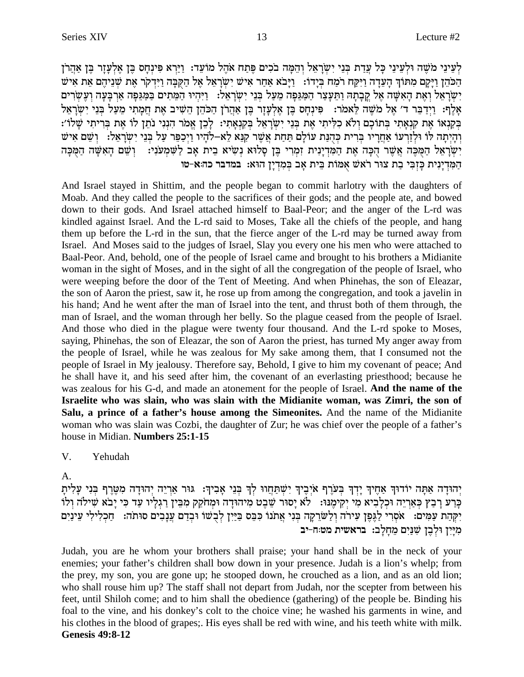לְעֵינֵי מֹשֶׁה וּלְעֵינֵי כָּל עֲדַת בְּנֵי יִשְׂרָאֵל וְהֻמָּה בֹכִים פֵּתַח אֹהֵל מוֹעֵד: וַיַּרְא פִּינְחָס בֵּן אֵלְעָזַר בֵּן אַהֲרֹן הַכֹּהֶן וַיַּקַם מִתּוֹךְ הַעֲדָה וַיִּקַח רֹמַח בְּיַדוֹ: וַיַּבֹא אַחָר אִישׁ יִשְׂרָאֵל אֵל הַקִּבָּה וַיִּדְקֹר אֶת שַׁנֵיהֶם אֶת אִישׁ יְשְׂרָאֵל וָאֶת הָאִשָּׁה אֶל קַבְתַהּ וַתִּעֲצָר הַמַּגְפָה מֵעָל בְּנֵי יְשַׂרָאֵל: - וַיְּהִיוּ הַמֵּתִים בַּמַּגְפָה אַרְבַּעָה וְעָשְׂרִים אָלֶף: וַיְדַבֵּר ד' אֶל מֹשֶׁה לֵאמֹר: פִּינְחָס בֶּן אֶלְעָזֶר בֶּן אַהֲרֹן הַכֹּהֵן הֵשִׁיב אֶת חַמָּתִי מֵעַל בִּנֵי יִשְׂרָאֵל בקנאו את קנאתי בתוכם ולא כליתי את בני ישראל בקנאתי: לכן אמר הנני נתן לו את בריתי שלו׳: וְהַיְתַה לו וּלְזֵרְעוֹ אַחֲרֵיו בְּרִית כְּהִנָּת עוֹלֵם תַּחַת אֲשֶׁר קִנֵּא לֵא–לֹהָיו וַיִּכְפֶּר עַל בְּנֵי יִשְׂרַאֲל: וְשֵׁם אִישׁ ישראל המכה אשר הכה את המדינית זמרי בן סלוא נשיא בית אב לשמעני: נשם האשה המכה הַמְּדְיָנִית כָּזְבִּי בַת צוּר רֹאשׁ אָמּוֹת בֵּית אָב בִּמְדְיַן הוּא: במדבר כה:א-טו

And Israel stayed in Shittim, and the people began to commit harlotry with the daughters of Moab. And they called the people to the sacrifices of their gods; and the people ate, and bowed down to their gods. And Israel attached himself to Baal-Peor; and the anger of the L-rd was kindled against Israel. And the L-rd said to Moses, Take all the chiefs of the people, and hang them up before the L-rd in the sun, that the fierce anger of the L-rd may be turned away from Israel. And Moses said to the judges of Israel, Slay you every one his men who were attached to Baal-Peor. And, behold, one of the people of Israel came and brought to his brothers a Midianite woman in the sight of Moses, and in the sight of all the congregation of the people of Israel, who were weeping before the door of the Tent of Meeting. And when Phinehas, the son of Eleazar, the son of Aaron the priest, saw it, he rose up from among the congregation, and took a javelin in his hand; And he went after the man of Israel into the tent, and thrust both of them through, the man of Israel, and the woman through her belly. So the plague ceased from the people of Israel. And those who died in the plague were twenty four thousand. And the L-rd spoke to Moses, saying, Phinehas, the son of Eleazar, the son of Aaron the priest, has turned My anger away from the people of Israel, while he was zealous for My sake among them, that I consumed not the people of Israel in My jealousy. Therefore say, Behold, I give to him my covenant of peace; And he shall have it, and his seed after him, the covenant of an everlasting priesthood; because he was zealous for his G-d, and made an atonement for the people of Israel. And the name of the Israelite who was slain, who was slain with the Midianite woman, was Zimri, the son of Salu, a prince of a father's house among the Simeonites. And the name of the Midianite woman who was slain was Cozbi, the daughter of Zur; he was chief over the people of a father's house in Midian. Numbers 25:1-15

#### $V_{\cdot}$ Yehudah

A.

יְהוּדַה אַתַּה יוֹדוּךְ אַחֵיךְ יַדְךְ בְּעֹרֶף אֹיְבֵיךְ יִשְׁתַּחֲווּ לְךָ בְּנֵי אַבִיךְ: גּוּר אַרְיֵה יְהוּדַה מִטֱרֶף בְּנִי עַלִיתַ ּ<br>בִּרַע רַבִץ כִּאַרְיָה וּכִלְבִיא מִי יִקְימֶנּוּ: | לֹא יָסוּר שֵׁבֶט מִיהוּדָה וּמְחֹקֵק מִבֵּין רַגְלְיוּ עַד כִּי יָבֹא שִׁילֹה וְלוֹ יִקְהַת עַמִּים: אֹסְרִי לַגֶּפֶן עִירֹה וְלַשֹּׁרִקָה בְּנִי אֲתֹנוֹ כִּבֵּס בַּיַיִן לְבָשׁוֹ וּבְדָם עֲנָבִים סותה: תַּכְלִילִי עֵינַיִם מִיַּיִן וּלְבֵן שִׁנַּיִם מֵחַלְב: בראשית מט:ח-יב

Judah, you are he whom your brothers shall praise; your hand shall be in the neck of your enemies; your father's children shall bow down in your presence. Judah is a lion's whelp; from the prey, my son, you are gone up; he stooped down, he crouched as a lion, and as an old lion; who shall rouse him up? The staff shall not depart from Judah, nor the scepter from between his feet, until Shiloh come; and to him shall the obedience (gathering) of the people be. Binding his foal to the vine, and his donkey's colt to the choice vine; he washed his garments in wine, and his clothes in the blood of grapes;. His eyes shall be red with wine, and his teeth white with milk. **Genesis 49:8-12**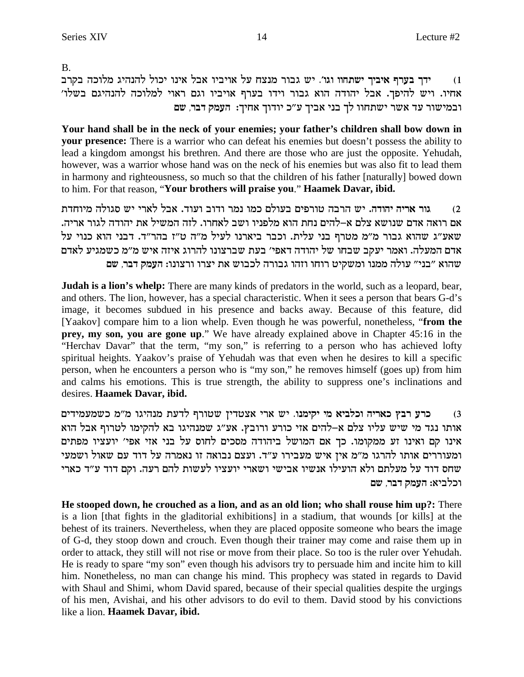$B<sub>1</sub>$ 

ידך בערף איביך ישתחוו וגו׳. יש גבור מנצח על אויביו אבל אינו יכול להנהיג מלוכה בקרב  $(1)$ אחיו. ויש להיפך. אבל יהודה הוא גבור וידו בערף אויביו וגם ראוי למלוכה להנהיגם בשלו׳ ובמישור עד אשר ישתחוו לך בני אביך ע"כ יודוך אחיך: העמק דבר, שם

Your hand shall be in the neck of your enemies; your father's children shall bow down in your presence: There is a warrior who can defeat his enemies but doesn't possess the ability to lead a kingdom amongst his brethren. And there are those who are just the opposite. Yehudah, however, was a warrior whose hand was on the neck of his enemies but was also fit to lead them in harmony and righteousness, so much so that the children of his father [naturally] bowed down to him. For that reason, "Your brothers will praise you." Haamek Davar, ibid.

גור אריה יהודה. יש הרבה טורפים בעולם כמו נמר ודוב ועוד. אבל לארי יש סגולה מיוחדת  $(2)$ אם רואה אדם שנושא צלם א–להים נחת הוא מלפניו ושב לאחרו. לזה המשיל את יהודה לגור אריה. שאע"ג שהוא גבור מ"מ מטרף בני עלית. וכבר ביארנו לעיל מ"ה ט"ז בהר"ד. דבני הוא כנוי על אדם המעלה. ואמר יעקב שבחו של יהודה דאפי׳ בעת שברצונו להרוג איזה איש מ״מ כשמגיע לאדם שהוא "בני" עולה ממנו ומשקיט רוחו וזהו גבורה לכבוש את יצרו ורצונו: העמק דבר, שם

**Judah is a lion's whelp:** There are many kinds of predators in the world, such as a leopard, bear, and others. The lion, however, has a special characteristic. When it sees a person that bears G-d's image, it becomes subdued in his presence and backs away. Because of this feature, did [Yaakov] compare him to a lion whelp. Even though he was powerful, nonetheless, "from the prey, my son, you are gone up." We have already explained above in Chapter 45:16 in the "Herchav Davar" that the term, "my son," is referring to a person who has achieved lofty spiritual heights. Yaakov's praise of Yehudah was that even when he desires to kill a specific person, when he encounters a person who is "my son," he removes himself (goes up) from him and calms his emotions. This is true strength, the ability to suppress one's inclinations and desires. Haamek Davar, ibid.

כרע רבץ כאריה וכלביא מי יקימנו. יש ארי אצטדין שטורף לדעת מנהיגו מ״מ כשמעמידים  $(3)$ אותו נגד מי שיש עליו צלם א–להים אזי כורע ורובץ. אע"ג שמנהיגו בא להקימו לטרוף אבל הוא אינו קם ואינו זע ממקומו. כך אם המושל ביהודה מסכים לחוס על בני אזי אפי׳ יועציו מפתים ומעוררים אותו להרגו מ״מ אין איש מעבירו ע״ד. ועצם נבואה זו נאמרה על דוד עם שאול ושמעי שחס דוד על מעלתם ולא הועילו אנשיו אבישי ושארי יועציו לעשות להם רעה. וקם דוד ע"ד כארי וכלביא: העמק דבר, שם

He stooped down, he crouched as a lion, and as an old lion; who shall rouse him up?: There is a lion [that fights in the gladitorial exhibitions] in a stadium, that wounds [or kills] at the behest of its trainers. Nevertheless, when they are placed opposite someone who bears the image of G-d, they stoop down and crouch. Even though their trainer may come and raise them up in order to attack, they still will not rise or move from their place. So too is the ruler over Yehudah. He is ready to spare "my son" even though his advisors try to persuade him and incite him to kill him. Nonetheless, no man can change his mind. This prophecy was stated in regards to David with Shaul and Shimi, whom David spared, because of their special qualities despite the urgings of his men, Avishai, and his other advisors to do evil to them. David stood by his convictions like a lion. Haamek Davar, ibid.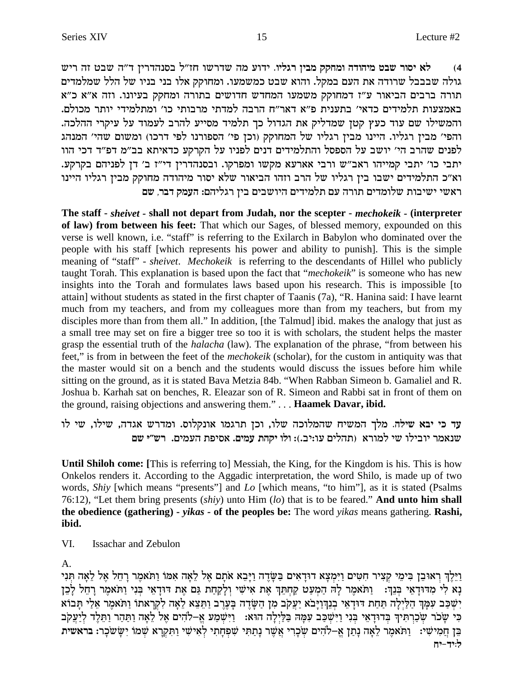לא יסור שבט מיהודה ומחקק מבין רגליו. ידוע מה שדרשו חז"ל בסנהדרין ד"ה שבט זה ריש  $(4)$ גולה שבבבל שרודה את העם במקל. והוא שבט כמשמעו. ומחוקק אלו בני בניו של הלל שמלמדים תורה ברבים הביאור ע"ז דמחוקק משמעו המחדש חדושים בתורה ומחקק בעיונו. וזה א"א כ"א באמצעות תלמידים כדאי׳ בתענית פ״א דאר״ח הרבה למדתי מרבותי כו׳ ומתלמידי יותר מכולם. והמשילו שם עוד כעץ קטן שמדליק את הגדול כך תלמיד מסייע להרב לעמוד על עיקרי ההלכה. והפי' מבין רגליו. היינו מבין רגליו של המחוקק (וכן פי' הספורנו לפי דרכו) ומשום שהי' המנהג לפנים שהרב הי׳ יושב על הספסל והתלמידים דנים לפניו על הקרקע כדאיתא בב״מ דפ״ד דכי הוו יתבי כו' יתבי קמייהו ראב"ש ורבי אארעא מקשו ומפרקו. ובסנהדרין די"ז ב' דן לפניהם בקרקע. וא״כ התלמידים ישבו בין רגליו של הרב וזהו הביאור שלא יסור מיהודה מחוקק מבין רגליו היינו ראשי ישיבות שלומדים תורה עם תלמידים היושבים ביז רגליהם: העמק דבר, שם

The staff - *sheivet* - shall not depart from Judah, nor the scepter - *mechokeik* - (interpreter of law) from between his feet: That which our Sages, of blessed memory, expounded on this verse is well known, i.e. "staff" is referring to the Exilarch in Babylon who dominated over the people with his staff [which represents his power and ability to punish]. This is the simple meaning of "staff" - sheivet. Mechokeik is referring to the descendants of Hillel who publicly taught Torah. This explanation is based upon the fact that "mechokeik" is someone who has new insights into the Torah and formulates laws based upon his research. This is impossible [to attain] without students as stated in the first chapter of Taanis (7a), "R. Hanina said: I have learnt much from my teachers, and from my colleagues more than from my teachers, but from my disciples more than from them all." In addition, [the Talmud] ibid. makes the analogy that just as a small tree may set on fire a bigger tree so too it is with scholars, the student helps the master grasp the essential truth of the *halacha* (law). The explanation of the phrase, "from between his feet," is from in between the feet of the *mechokeik* (scholar), for the custom in antiquity was that the master would sit on a bench and the students would discuss the issues before him while sitting on the ground, as it is stated Bava Metzia 84b. "When Rabban Simeon b. Gamaliel and R. Joshua b. Karhah sat on benches, R. Eleazar son of R. Simeon and Rabbi sat in front of them on the ground, raising objections and answering them."... Haamek Davar, ibid.

עד כי יבא שילה. מלך המשיח שהמלוכה שלו, וכן תרגמו אונקלוס. ומדרש אגדה, שילו, שי לו שנאמר יובילו שי למורא (תהלים עו:יב.): ולו יקהת עמים. אסיפת העמים. רש״י שם

**Until Shiloh come:** [This is referring to] Messiah, the King, for the Kingdom is his. This is how Onkelos renders it. According to the Aggadic interpretation, the word Shilo, is made up of two words, Shiy [which means "presents"] and Lo [which means, "to him"], as it is stated (Psalms 76:12), "Let them bring presents (shiv) unto Him (lo) that is to be feared." And unto him shall the obedience (gathering) - yikas - of the peoples be: The word yikas means gathering. Rashi, ibid.

VI. **Issachar and Zebulon** 

A.

וַיֵּלֵךְ רְאוּבֵן בִּימֵי קִצְיר חָטִים וַיִּמְצָא דוּדָאִים בַּשַׂדֵה וַיַּבֵא אֹתַם אֵל לֵאֲה אִמּוֹ וַתּאמֶר רַחֲל אֵל לֵאָה תִּנִי נָא לִי מְדוּדָאֵי בְּנֵךְ: ۚ וַתֹּאמֶר לַה הַמְעַט קַחְתֵּךְ אֶת אִישִׁי וְלַקְחַת גַּם אֶת דוּדָאֵי בְּנִי וַתֹּאמֶר רַחֵל לַכֵן יִּשְׁפֵב עִמָּךְ הַלַּיְלָה תַּחַת דּוּדָאֵי בְנֵךְוַיָּבֹא יַעֲקֹב מִן הַשָּׂדֶה בְּעֶרֶב וַתֵּצֵא לֵאָה לִקְרָאתו וַתֹּאמֶר אֵלַי תָּבוֹא כִּי שָׂכֹר שִׂכַרְתִּיךְ בְּדוּדָאֵי בְּנִי וַיִּשְׁכָּב עִמָּה בַלַיְלָה הוּא: וַיִּשְׁמַע אֵלֹלְהִים אֵל לֵאָה וַתַּהַר וַתֵּלֵד לְיַעֲקִב בֵּן חֲמִישִׁי: וַתֹּאמֶר לֵאָה נְתַן אֱ–לֹהִים שְׂכָרִי אֲשֶׁר נְתַתִּי שִׁפְחָתִי לְאִישִׁי וַתִּקְרָא שִׁמֹוֹ יִשָּׂשֹכְר: בראשית ל:יד-יח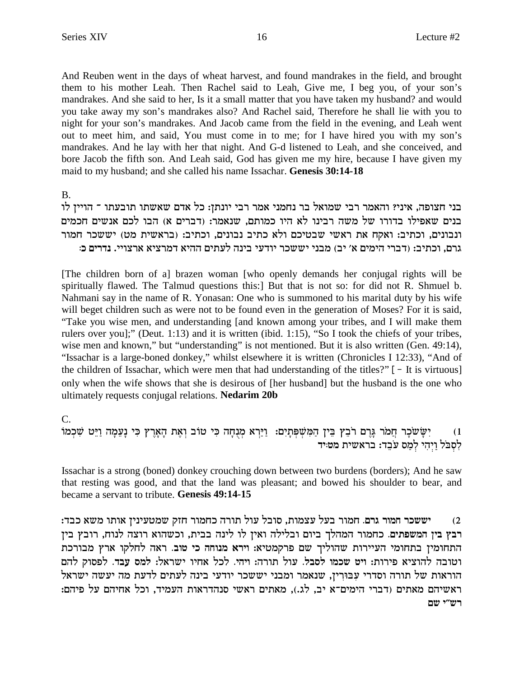And Reuben went in the days of wheat harvest, and found mandrakes in the field, and brought them to his mother Leah. Then Rachel said to Leah, Give me, I beg you, of your son's mandrakes. And she said to her, Is it a small matter that you have taken my husband? and would you take away my son's mandrakes also? And Rachel said, Therefore he shall lie with you to night for your son's mandrakes. And Jacob came from the field in the evening, and Leah went out to meet him, and said, You must come in to me; for I have hired you with my son's mandrakes. And he lay with her that night. And G-d listened to Leah, and she conceived, and bore Jacob the fifth son. And Leah said, God has given me my hire, because I have given my maid to my husband; and she called his name Issachar. **Genesis 30:14-18**

#### B.

בני חצופה, איני? והאמר רבי שמואל בר נחמני אמר רבי יונתן: כל אדם שאשתו תובעתו ־ הויין לו בנים שאפילו בדורו של משה רבינו לא היו כמותם, שנאמר: (דברים א) הבו לכם אנשים חכמים ונבונים, וכתיב: ואקח את ראשי שבטיכם ולא כתיב נבונים, וכתיב: (בראשית מט) יששכר חמור .<br>גרם. וכתיב: (דברי הימים א׳ יב) מבני יששכר יודעי בינה לעתים ההיא דמרציא ארצויי. נדרים כ

[The children born of a] brazen woman [who openly demands her conjugal rights will be spiritually flawed. The Talmud questions this:] But that is not so: for did not R. Shmuel b. Nahmani say in the name of R. Yonasan: One who is summoned to his marital duty by his wife will beget children such as were not to be found even in the generation of Moses? For it is said, "Take you wise men, and understanding [and known among your tribes, and I will make them rulers over you];" (Deut. 1:13) and it is written (ibid. 1:15), "So I took the chiefs of your tribes, wise men and known," but "understanding" is not mentioned. But it is also written (Gen. 49:14), "Issachar is a large-boned donkey," whilst elsewhere it is written (Chronicles I 12:33), "And of the children of Issachar, which were men that had understanding of the titles?"**[ -** It is virtuous] only when the wife shows that she is desirous of [her husband] but the husband is the one who ultimately requests conjugal relations. **Nedarim 20b**

#### C.

Fnkß W¶ hI•e© dn® r• p® iM¶ ux§`® d® z`§ eß aFh iM¶ dg® p™nß `xßI©e© :mi¶z® Rß Wß O¶ d© oiA• ua• ox mx§B® xong£ xk®oyV® i¶ (1 לִסְב<sup>ַ</sup>ל וַיְהִי לְמַס עֹבֶד: בראשית מטויד

Issachar is a strong (boned) donkey crouching down between two burdens (borders); And he saw that resting was good, and that the land was pleasant; and bowed his shoulder to bear, and became a servant to tribute. **Genesis 49:14-15**

:cak `yn eze` oipirhny wfg xengk dxez ler laeq ,zenvr lra xeng **.mxb xeng xkyyi** (2 רבץ בין המשפתים. כחמור המהלך ביום ובלילה ואין לו לינה בבית, וכשהוא רוצה לנוח, רובץ בין התחומין בתחומי העיירות שהוליך שם פרקמטיא: וירא מנוחה כי טוב. ראה לחלקו ארץ מבורכת וטובה להוציא פירות: ויט שכמו לסבל. עול תורה: ויהי. לכל אחיו ישראל: למס עבד. לפסוק להם הוראות של תורה וסדרי עבּוּריז, שנאמר ומבני יששכר יודעי בינה לעתים לדעת מה יעשה ישראל ראשיהם מאתים (דברי הימים־א יב, לג.), מאתים ראשי סנהדראות העמיד, וכל אחיהם על פיהם: **רש״י** שם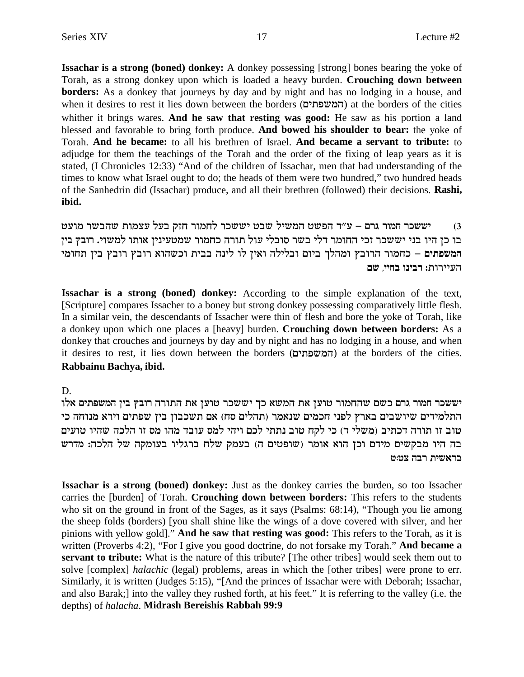**Issachar is a strong (boned) donkey:** A donkey possessing [strong] bones bearing the yoke of Torah, as a strong donkey upon which is loaded a heavy burden. **Crouching down between borders:** As a donkey that journeys by day and by night and has no lodging in a house, and when it desires to rest it lies down between the borders (המשפחים) at the borders of the cities whither it brings wares. **And he saw that resting was good:** He saw as his portion a land blessed and favorable to bring forth produce. **And bowed his shoulder to bear:** the yoke of Torah. **And he became:** to all his brethren of Israel. **And became a servant to tribute:** to adjudge for them the teachings of the Torah and the order of the fixing of leap years as it is stated, (I Chronicles 12:33) "And of the children of Issachar, men that had understanding of the times to know what Israel ought to do; the heads of them were two hundred," two hundred heads of the Sanhedrin did (Issachar) produce, and all their brethren (followed) their decisions. **Rashi, ibid.**

hren xyady zenvr lra wfg xengl xkyyi hay liynd hytd c"r - **mxb xeng xkyyi** (3 בו כן היו בני יששכר זכי החומר דלי בשר סובלי עול תורה כחמור שמטעינין אותו למשוי. רובץ בין המשפתים – כחמור הרובץ ומהלך ביום ובלילה ואין לו לינה בבית וכשהוא רובץ רובץ בין תחומי **העיירות: רבינו בחיי, שם** 

**Issachar is a strong (boned) donkey:** According to the simple explanation of the text, [Scripture] compares Issacher to a boney but strong donkey possessing comparatively little flesh. In a similar vein, the descendants of Issacher were thin of flesh and bore the yoke of Torah, like a donkey upon which one places a [heavy] burden. **Crouching down between borders:** As a donkey that crouches and journeys by day and by night and has no lodging in a house, and when it desires to rest, it lies down between the borders (המשפתים) at the borders of the cities. **Rabbainu Bachya, ibid.**

#### D.

יששכר חמור גרם כשם שהחמור טוען את המשא כך יששכר טוען את התורה רובץ בין המשפתים אלו התלמידים שיושבים בארץ לפני חכמים שנאמר (תהלים סח) אם תשכבון בין שפתים וירא מנוחה כי טוב זו תורה דכתיב (משלי ד) כי לקח טוב נתתי לכם ויהי למס עובד מהו מס זו הלכה שהיו טועים בה היו מבקשים מידם וכן הוא אומר (שופטים ה) בעמק שלח ברגליו בעומקה של הלכה: מדרש **h:hv dax ziy`xa**

**Issachar is a strong (boned) donkey:** Just as the donkey carries the burden, so too Issacher carries the [burden] of Torah. **Crouching down between borders:** This refers to the students who sit on the ground in front of the Sages, as it says (Psalms: 68:14), "Though you lie among the sheep folds (borders) [you shall shine like the wings of a dove covered with silver, and her pinions with yellow gold]."**And he saw that resting was good:** This refers to the Torah, as it is written (Proverbs 4:2), "For I give you good doctrine, do not forsake my Torah."**And became a servant to tribute:** What is the nature of this tribute? [The other tribes] would seek them out to solve [complex] *halachic* (legal) problems, areas in which the [other tribes] were prone to err. Similarly, it is written (Judges 5:15), "[And the princes of Issachar were with Deborah; Issachar, and also Barak;] into the valley they rushed forth, at his feet." It is referring to the valley (i.e. the depths) of *halacha*. **Midrash Bereishis Rabbah 99:9**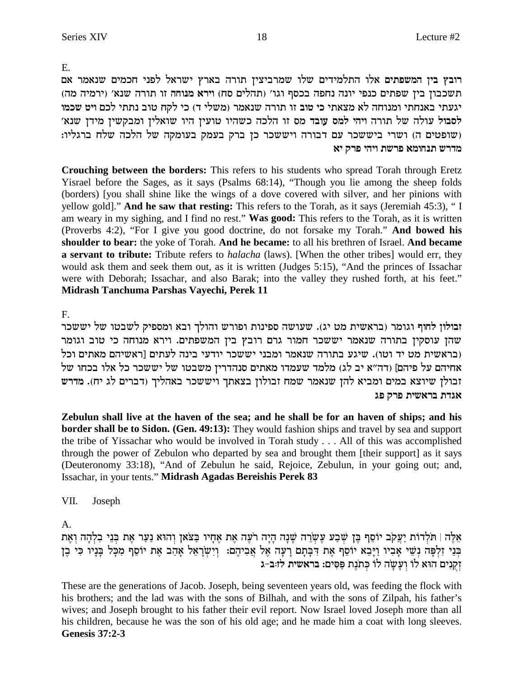E.

m` xn`py minkg iptl l`xyi ux`a dxez oiviaxny ely micinlzd el` **miztynd oia uaex** תשכבון בין שפתים כנפי יונה נחפה בכסף וגו' (תהלים סח) וירא מנוחה זו תורה שנא' (ירמיה מה) יגעתי באנחתי ומנוחה לא מצאתי כי טוב זו תורה שנאמר (משלי ד) כי לקח טוב נתתי לכם ויט שכמו לסבול עולה של תורה ויהי למס עובד מס זו הלכה כשהיו טועין היו שואלין ומבקשין מידן שנא' :שופטים ה) ושרי ביששכר עם דבורה ויששכר כן ברק בעמק בעומקה של הלכה שלח ברגליו **`i wxt idie zyxt `negpz yxcn**

**Crouching between the borders:** This refers to his students who spread Torah through Eretz Yisrael before the Sages, as it says (Psalms 68:14), "Though you lie among the sheep folds (borders) [you shall shine like the wings of a dove covered with silver, and her pinions with yellow gold]."**And he saw that resting:** This refers to the Torah, as it says (Jeremiah 45:3), " I am weary in my sighing, and I find no rest."**Was good:** This refers to the Torah, as it is written (Proverbs 4:2), "For I give you good doctrine, do not forsake my Torah."**And bowed his shoulder to bear:** the yoke of Torah. **And he became:** to all his brethren of Israel. **And became a servant to tribute:** Tribute refers to *halacha* (laws). [When the other tribes] would err, they would ask them and seek them out, as it is written (Judges 5:15), "And the princes of Issachar were with Deborah; Issachar, and also Barak; into the valley they rushed forth, at his feet." **Midrash Tanchuma Parshas Vayechi, Perek 11**

F.

ובולון לחוף וגומר (בראשית מט יג). שעושה ספינות ופורש והולך ובא ומספיק לשבטו של יששכר שהן עוסקין בתורה שנאמר יששכר חמור גרם רובץ בין המשפתים. וירא מנוחה כי טוב וגומר ובראשית מט יד וטו). שיגע בתורה שנאמר ומבני יששכר יודעי בינה לעתים [ראשיהם מאתים וכל וחיהם על פיהם] (דה"א יב לג) מלמד שעמדו מאתים סנהדריז משבטו של יששכר כל אלו בכחו של זבולז שיוצא במים ומביא להז שנאמר שמח זבולוז בצאתר ויששכר באהליך (דברים לג יח). מדרש  $\boldsymbol{x}$  אגדת בראשית פרק פג

**Zebulun shall live at the haven of the sea; and he shall be for an haven of ships; and his border shall be to Sidon. (Gen. 49:13):** They would fashion ships and travel by sea and support the tribe of Yissachar who would be involved in Torah study . . . All of this was accomplished through the power of Zebulon who departed by sea and brought them [their support] as it says (Deuteronomy 33:18), "And of Zebulun he said, Rejoice, Zebulun, in your going out; and, Issachar, in your tents."**Midrash Agadas Bereishis Perek 83**

## VII. Joseph

A.

אֱלֵה | תֹּלְדוֹת יַעֲקֹב יוֹסֵף בֵּן שִׁבַע עֵשְׂרֵה שָׁנָה הָיָה רֹעֵה אֵת אֵחָיו בַּצֹאן וְהוּא נַעַר אֵת בִּנֵי בִלְהָה וְאֵת בְּנֵי זִלְפָּה נְשֵׁי אָבִיו וַיָּבֵא יוֹסֵף אֶת דִּבְּתָם רָעָה אֶל אֲבִיהֶם: וְיִשְׂרָאֵל אָהַב אֶת יוֹסֵף מִכָּל בָּנָיו כִּי בֶן ֿזְקֻנִים הוּא לוֹ וְעָשָׂה לוֹ כְּתֹנֶת פַּסִים**: ברא**שית לזּ:ב−ג

These are the generations of Jacob. Joseph, being seventeen years old, was feeding the flock with his brothers; and the lad was with the sons of Bilhah, and with the sons of Zilpah, his father's wives; and Joseph brought to his father their evil report. Now Israel loved Joseph more than all his children, because he was the son of his old age; and he made him a coat with long sleeves. **Genesis 37:2-3**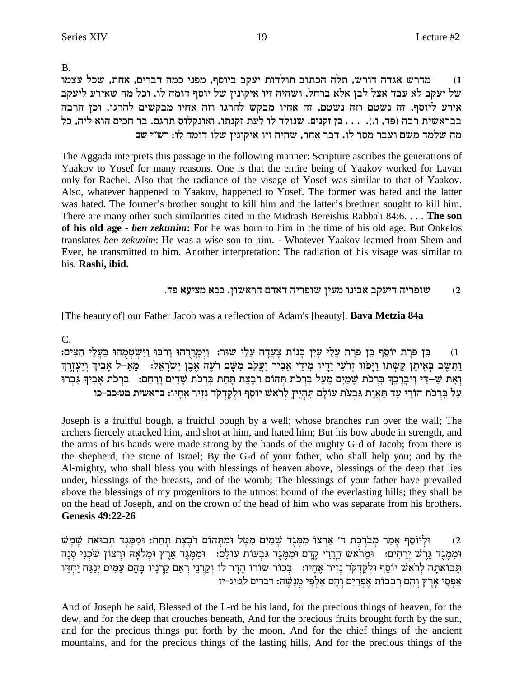$B<sub>1</sub>$ 

מדרש אגדה דורש, תלה הכתוב תולדות יעקב ביוסף, מפני כמה דברים, אחת, שכל עצמו  $(1)$ של יעקב לא עבד אצל לבן אלא ברחל, ושהיה זיו איקונין של יוסף דומה לו, וכל מה שאירע ליעקב אירע ליוסף, זה נשטם וזה נשטם, זה אחיו מבקש להרגו וזה אחיו מבקשים להרגו, וכן הרבה בבראשית רבה (פד, ו.). . . . בן זקנים. שנולד לו לעת זקנתו. ואונקלוס תרגם. בר חכים הוא ליה, כל מה שלמד משם ועבר מסר לו. דבר אחר, שהיה זיו איקונין שלו דומה לו: רש"י שם

The Aggada interprets this passage in the following manner: Scripture ascribes the generations of Yaakov to Yosef for many reasons. One is that the entire being of Yaakov worked for Lavan only for Rachel. Also that the radiance of the visage of Yosef was similar to that of Yaakov. Also, whatever happened to Yaakov, happened to Yosef. The former was hated and the latter was hated. The former's brother sought to kill him and the latter's brethren sought to kill him. There are many other such similarities cited in the Midrash Bereishis Rabbah 84:6. . . . The son of his old age - ben *zekunim*: For he was born to him in the time of his old age. But Onkelos translates ben zekunim: He was a wise son to him. - Whatever Yaakov learned from Shem and Ever, he transmitted to him. Another interpretation: The radiation of his visage was similar to his. Rashi, ibid.

#### שופריה דיעקב אבינו מעין שופריה דאדם הראשון. בבא מציעא פד.  $(2)$

[The beauty of] our Father Jacob was a reflection of Adam's [beauty]. Bava Metzia 84a

 $C_{\cdot}$ 

בֵּן פּוַרת יוֹסֵף בֵּן פּוַרת עֲלֵי עַיִן בָּנוֹת צָעֲדָה עֲלֵי שׁוּר: וַיִּמְרַדְהוּ וַרֹבּוּ וַיִּשְׂטְמְהוּ בַּעֲלֵי חָצִים:  $(1)$ וַתֵּשֵׁב בִּאֵיתָן קַשְׁתּוֹ וַיָּפֹזוּ זִרֹעֵי יָדָיו מִידֵי אֲבִיר יַעֲקֹב מִשָּׁם רֹעֵה אֶבֶן יִשְׂרָאֵל: ` מֵאֵ-ל אָבִיךְ וְיַעְזְרֵךְ וְאֶת שַׁ–דֵי וְיכָרַכֶךְ בִּרְכֹת שָׁמַיִם מֵעָל בִּרְכֹת תְּהוֹם רֹבֶצֶת תָּחַת בִּרְכֹת שָׁדַיִם וְרָחַם: בִּרְכֹת אָבִיךְ גְּבְרוּ על ברכת הורי עד תאות גבעת עולם תהיין לראש יוסף ולקדקד נזיר אחיו: בראשית מטוכב-כו

Joseph is a fruitful bough, a fruitful bough by a well; whose branches run over the wall; The archers fiercely attacked him, and shot at him, and hated him; But his bow abode in strength, and the arms of his hands were made strong by the hands of the mighty G-d of Jacob; from there is the shepherd, the stone of Israel; By the G-d of your father, who shall help you; and by the Al-mighty, who shall bless you with blessings of heaven above, blessings of the deep that lies under, blessings of the breasts, and of the womb; The blessings of your father have prevailed above the blessings of my progenitors to the utmost bound of the everlasting hills; they shall be on the head of Joseph, and on the crown of the head of him who was separate from his brothers. **Genesis 49:22-26** 

וּלְיוֹסֵף אַמַר מִבֹרֶכֶת ד׳ אַרְצוֹ מִמֶּגֶד שַׁמַיִם מְטַל וּמִתְהוֹם רֹבֵצֶת תַּחֲת: וּמִמֵּגֶד תִּבוּאֹת שַׁמֵשׁ  $(2)$ וּמְמֵגֵד גֵרֵשׁ יְרַחִים: וּמֵרֹאשׁ הַרֲרֵי קֵדֶם וּמִמֶּגֵד גִּבְעוֹת עוֹלַם: וּמִמְגֵד אֵרֶץ וּמִלֹאָה וּרְצוֹן שֹׁכְנִי סְנֵה .<br>תַּבוֹאתָה לְרֹאשׁ יוֹסֵף וּלְקָדְקֹד נְזִיר אֶחָיו: "בְּכוֹר שׁוֹרוֹ הָדָר לוֹ וְקַרְנֵי רְאֵם קַרְנָיו בָּהֶם עַמִּים יְנַגַּח יַחְדִּו אַפְסֵי אָרֶץ וְהֵם רִבְבוֹת אֶפְרַיִם וְהֵם אַלְפֵי מִנַשֶּׁה: דברים לגייג-יז

And of Joseph he said, Blessed of the L-rd be his land, for the precious things of heaven, for the dew, and for the deep that crouches beneath, And for the precious fruits brought forth by the sun, and for the precious things put forth by the moon, And for the chief things of the ancient mountains, and for the precious things of the lasting hills, And for the precious things of the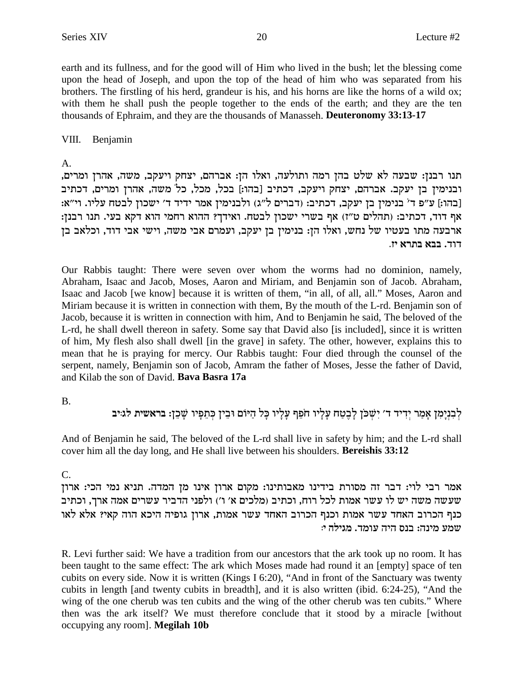earth and its fullness, and for the good will of Him who lived in the bush; let the blessing come upon the head of Joseph, and upon the top of the head of him who was separated from his brothers. The firstling of his herd, grandeur is his, and his horns are like the horns of a wild ox; with them he shall push the people together to the ends of the earth; and they are the ten thousands of Ephraim, and they are the thousands of Manasseh. **Deuteronomy 33:13-17**

VIII. Benjamin

A.

תנו רבנז: שבעה לא שלט בהן רמה ותולעה, ואלו הן: אברהם, יצחק ויעקב, משה, אהרן ומרים, ובנימין בן יעקב. אברהם, יצחק ויעקב, דכתיב [בהו:] בכל, מכל, כל משה, אהרן ומרים, דכתיב [בהו:] ע״פ ד׳ בנימין בן יעקב, דכתיב: (דברים ל״ג) ולבנימין אמר ידיד ד׳ ישכון לבטח עליו. וי״א: : אף דוד, דכתיב: (תהלים ט"ז) אף בשרי ישכון לבטח. ואידך? ההוא רחמי הוא דקא בעי. תנו רבנן ארבעה מתו בעטיו של נחש, ואלו הז: בנימין בן יעקב, ועמרם אבי משה, וישי אבי דוד, וכלאב בן **.fi `xza `aa** .cec

Our Rabbis taught: There were seven over whom the worms had no dominion, namely, Abraham, Isaac and Jacob, Moses, Aaron and Miriam, and Benjamin son of Jacob. Abraham, Isaac and Jacob [we know] because it is written of them, "in all, of all, all." Moses, Aaron and Miriam because it is written in connection with them, By the mouth of the L-rd. Benjamin son of Jacob, because it is written in connection with him, And to Benjamin he said, The beloved of the L-rd, he shall dwell thereon in safety. Some say that David also [is included], since it is written of him, My flesh also shall dwell [in the grave] in safety. The other, however, explains this to mean that he is praying for mercy. Our Rabbis taught: Four died through the counsel of the serpent, namely, Benjamin son of Jacob, Amram the father of Moses, Jesse the father of David, and Kilab the son of David. **Bava Basra 17a**

B.

לִבְנֵימַן אַמֵר יִדִיד ד' יִשָּׁכֹן לַבֵטַח עַלְיו חֹפֵף עַלֵיו כַּל הַיּוֹם וּבֵין כְּחַפַּיו שַׁכֵן: **בראשית** לג:יב

And of Benjamin he said, The beloved of the L-rd shall live in safety by him; and the L-rd shall cover him all the day long, and He shall live between his shoulders. **Bereishis 33:12**

C.

אמר רבי לוי: דבר זה מסורת בידינו מאבותינו: מקום ארון אינו מן המדה. תניא נמי הכי: ארון שעשה משה יש לו עשר אמות לכל רוח, וכתיב (מלכים א׳ ו׳) ולפני הדביר עשרים אמה ארך, וכתיב כנף הכרוב האחד עשר אמות וכנף הכרוב האחד עשר אמות, ארון גופיה היכא הוה קאי? אלא לאו **שמע מינה: בנס היה עומד. מגילה י**:

R. Levi further said: We have a tradition from our ancestors that the ark took up no room. It has been taught to the same effect: The ark which Moses made had round it an [empty] space of ten cubits on every side. Now it is written (Kings I 6:20), "And in front of the Sanctuary was twenty cubits in length [and twenty cubits in breadth], and it is also written (ibid. 6:24-25), "And the wing of the one cherub was ten cubits and the wing of the other cherub was ten cubits." Where then was the ark itself? We must therefore conclude that it stood by a miracle [without occupying any room]. **Megilah 10b**